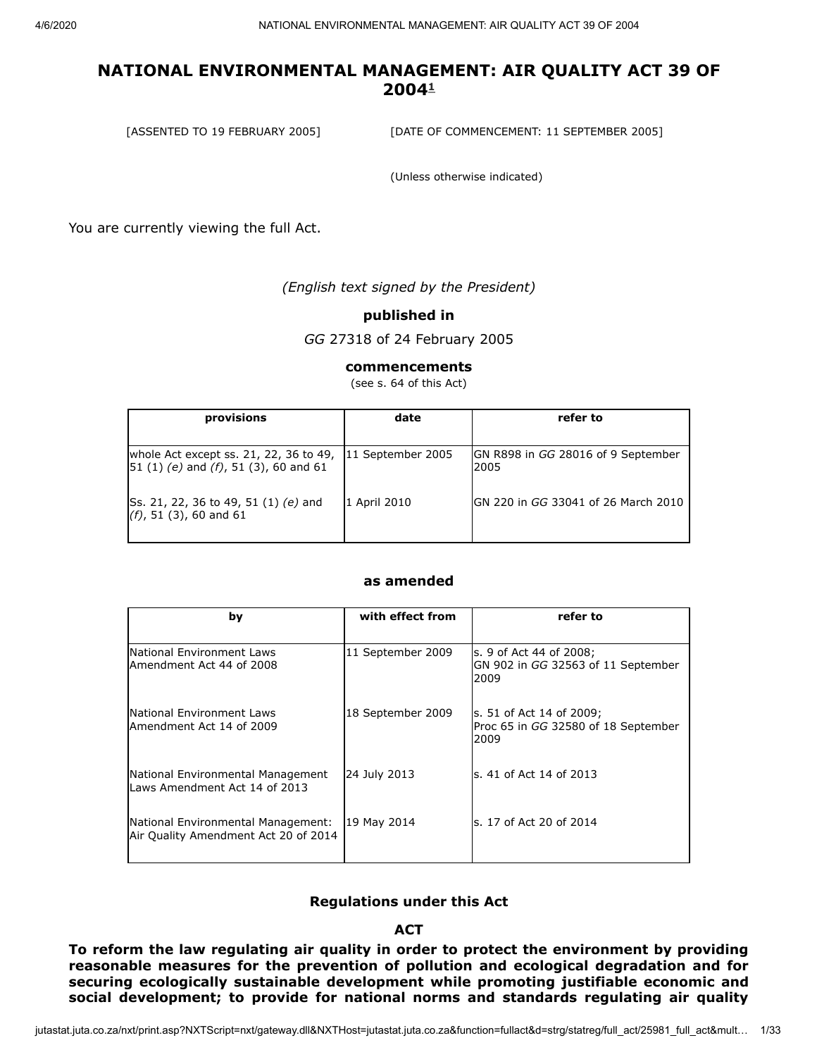[ASSENTED TO 19 FEBRUARY 2005] [DATE OF COMMENCEMENT: 11 SEPTEMBER 2005]

(Unless otherwise indicated)

You are currently viewing the full Act.

*(English text signed by the President)*

#### **published in**

*GG* 27318 of 24 February 2005

#### **commencements**

(see s. 64 of this Act)

| provisions                                                                            | date              | refer to                                   |
|---------------------------------------------------------------------------------------|-------------------|--------------------------------------------|
| whole Act except ss. 21, 22, 36 to 49,<br>$[51 (1) (e)$ and $(f)$ , 51 (3), 60 and 61 | 11 September 2005 | GN R898 in GG 28016 of 9 September<br>2005 |
| Ss. 21, 22, 36 to 49, 51 (1) (e) and<br>$(f)$ , 51 (3), 60 and 61                     | 1 April 2010      | IGN 220 in GG 33041 of 26 March 2010       |

#### **as amended**

| by                                                                         | with effect from  | refer to                                                                 |
|----------------------------------------------------------------------------|-------------------|--------------------------------------------------------------------------|
| National Environment Laws<br>lAmendment Act 44 of 2008                     | 11 September 2009 | s. 9 of Act 44 of 2008;<br>GN 902 in GG 32563 of 11 September<br>2009    |
| <b>INational Environment Laws</b><br>Amendment Act 14 of 2009              | 18 September 2009 | ls. 51 of Act 14 of 2009;<br>Proc 65 in GG 32580 of 18 September<br>2009 |
| National Environmental Management<br>Laws Amendment Act 14 of 2013         | 24 July 2013      | ls. 41 of Act 14 of 2013                                                 |
| National Environmental Management:<br>Air Quality Amendment Act 20 of 2014 | 19 May 2014       | s. 17 of Act 20 of 2014                                                  |

#### **Regulations under this Act**

#### **ACT**

**To reform the law regulating air quality in order to protect the environment by providing reasonable measures for the prevention of pollution and ecological degradation and for securing ecologically sustainable development while promoting justifiable economic and social development; to provide for national norms and standards regulating air quality**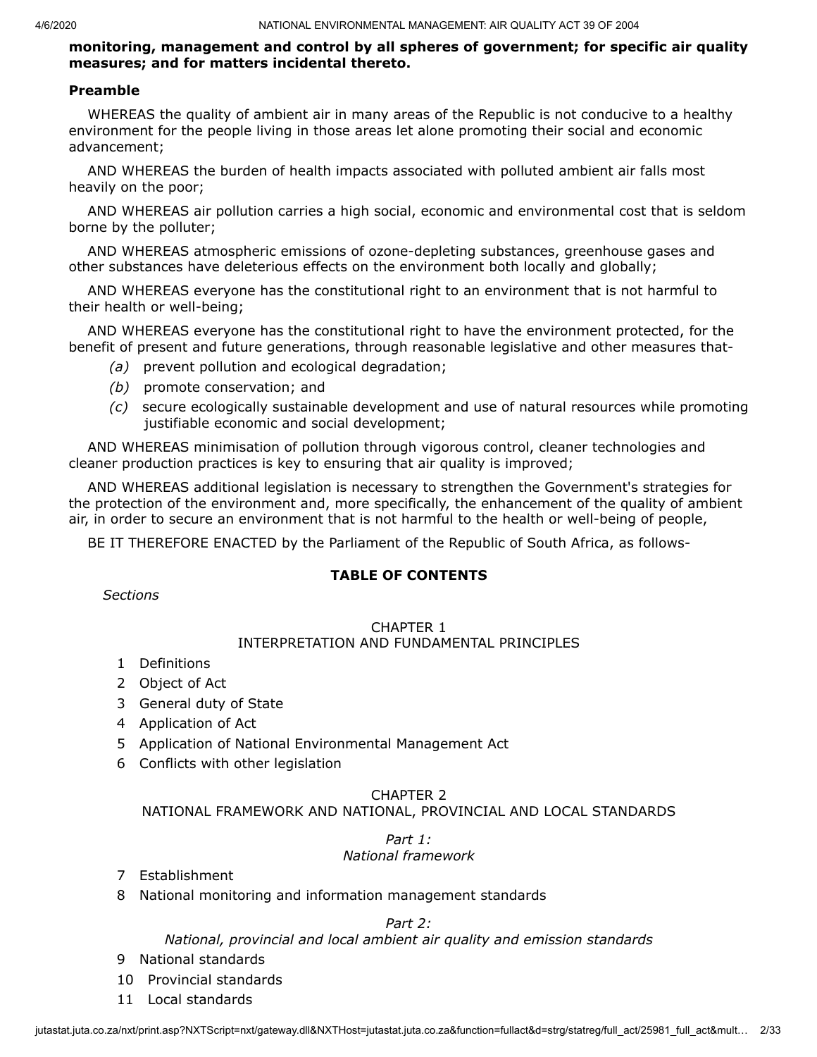#### **monitoring, management and control by all spheres of government; for specific air quality measures; and for matters incidental thereto.**

#### **Preamble**

WHEREAS the quality of ambient air in many areas of the Republic is not conducive to a healthy environment for the people living in those areas let alone promoting their social and economic advancement;

AND WHEREAS the burden of health impacts associated with polluted ambient air falls most heavily on the poor;

AND WHEREAS air pollution carries a high social, economic and environmental cost that is seldom borne by the polluter;

AND WHEREAS atmospheric emissions of ozone-depleting substances, greenhouse gases and other substances have deleterious effects on the environment both locally and globally;

AND WHEREAS everyone has the constitutional right to an environment that is not harmful to their health or well-being;

AND WHEREAS everyone has the constitutional right to have the environment protected, for the benefit of present and future generations, through reasonable legislative and other measures that-

- *(a)* prevent pollution and ecological degradation;
- *(b)* promote conservation; and
- *(c)* secure ecologically sustainable development and use of natural resources while promoting justifiable economic and social development;

AND WHEREAS minimisation of pollution through vigorous control, cleaner technologies and cleaner production practices is key to ensuring that air quality is improved;

AND WHEREAS additional legislation is necessary to strengthen the Government's strategies for the protection of the environment and, more specifically, the enhancement of the quality of ambient air, in order to secure an environment that is not harmful to the health or well-being of people,

BE IT THEREFORE ENACTED by the Parliament of the Republic of South Africa, as follows-

#### **TABLE OF CONTENTS**

*Sections*

#### CHAPTER 1

#### INTERPRETATION AND FUNDAMENTAL PRINCIPLES

- 1 Definitions
- 2 Object of Act
- 3 General duty of State
- 4 Application of Act
- 5 Application of National Environmental Management Act
- 6 Conflicts with other legislation

#### CHAPTER 2

NATIONAL FRAMEWORK AND NATIONAL, PROVINCIAL AND LOCAL STANDARDS

# *Part 1:*

#### *National framework*

- 7 Establishment
- 8 National monitoring and information management standards

#### *Part 2:*

*National, provincial and local ambient air quality and emission standards*

- 9 National standards
- 10 Provincial standards
- 11 Local standards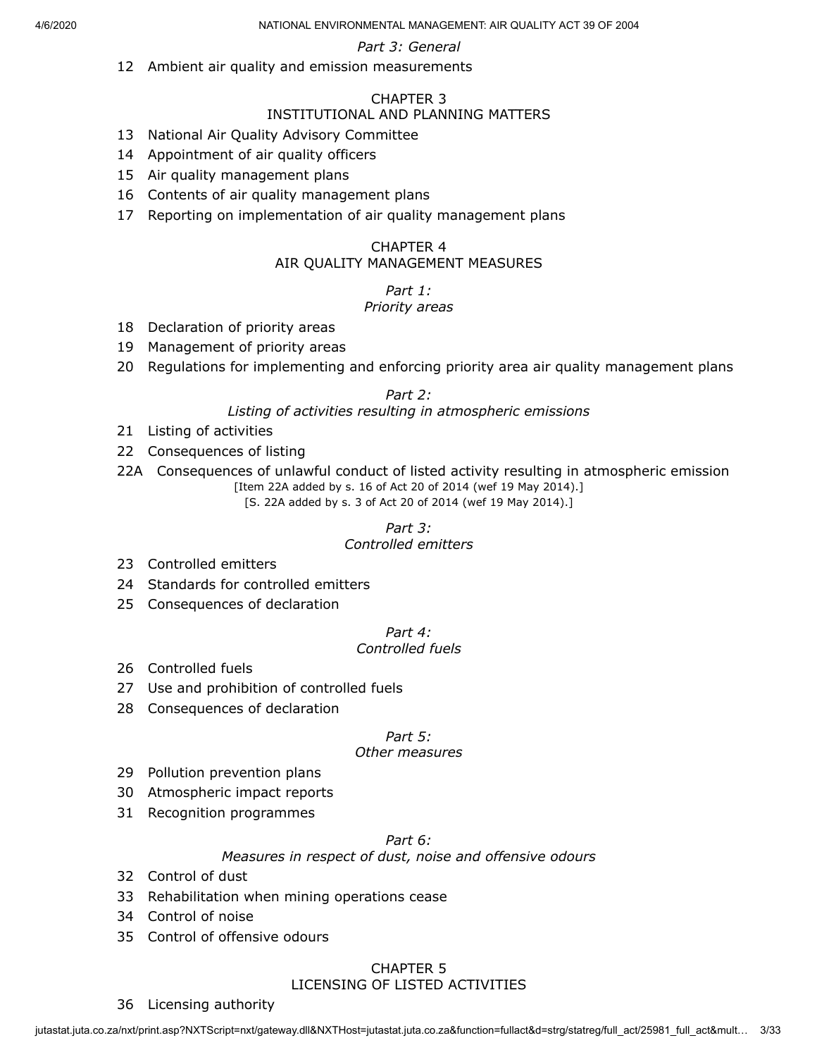#### *Part 3: General*

12 Ambient air quality and emission measurements

#### CHAPTER 3

#### INSTITUTIONAL AND PLANNING MATTERS

- 13 National Air Quality Advisory Committee
- 14 Appointment of air quality officers
- 15 Air quality management plans
- 16 Contents of air quality management plans
- 17 Reporting on implementation of air quality management plans

#### CHAPTER 4 AIR QUALITY MANAGEMENT MEASURES

# *Part 1:*

#### *Priority areas*

- 18 Declaration of priority areas
- 19 Management of priority areas
- 20 Regulations for implementing and enforcing priority area air quality management plans

#### *Part 2:*

## *Listing of activities resulting in atmospheric emissions*

- 21 Listing of activities
- 22 Consequences of listing
- 22A Consequences of unlawful conduct of listed activity resulting in atmospheric emission [Item 22A added by s. 16 of Act 20 of 2014 (wef 19 May 2014).]

[S. 22A added by s. 3 of Act 20 of 2014 (wef 19 May 2014).]

#### *Part 3: Controlled emitters*

- 23 Controlled emitters
- 24 Standards for controlled emitters
- 25 Consequences of declaration

# *Part 4:*

# *Controlled fuels*

- 26 Controlled fuels
- 27 Use and prohibition of controlled fuels
- 28 Consequences of declaration

#### *Part 5:*

#### *Other measures*

- 29 Pollution prevention plans
- 30 Atmospheric impact reports
- 31 Recognition programmes

#### *Part 6:*

#### *Measures in respect of dust, noise and offensive odours*

- 32 Control of dust
- 33 Rehabilitation when mining operations cease
- 34 Control of noise
- 35 Control of offensive odours

# CHAPTER 5

#### LICENSING OF LISTED ACTIVITIES

#### 36 Licensing authority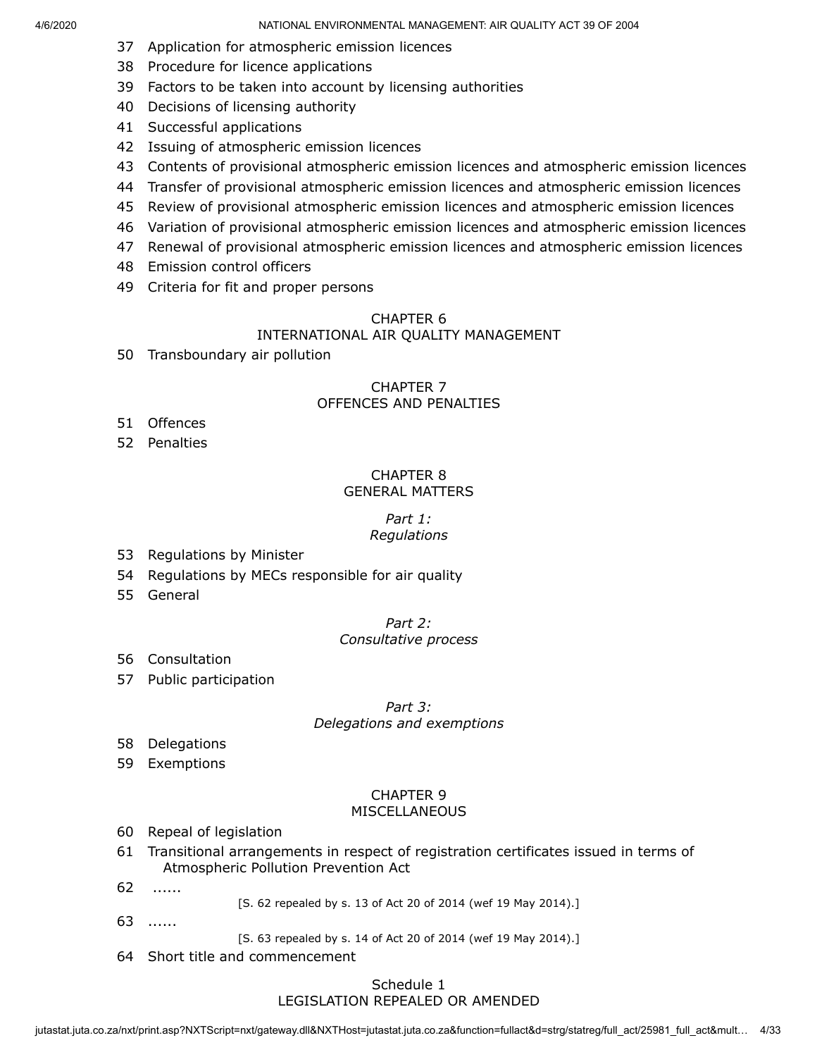- 37 Application for atmospheric emission licences
- 38 Procedure for licence applications
- 39 Factors to be taken into account by licensing authorities
- 40 Decisions of licensing authority
- 41 Successful applications
- 42 Issuing of atmospheric emission licences
- 43 Contents of provisional atmospheric emission licences and atmospheric emission licences
- 44 Transfer of provisional atmospheric emission licences and atmospheric emission licences
- 45 Review of provisional atmospheric emission licences and atmospheric emission licences
- 46 Variation of provisional atmospheric emission licences and atmospheric emission licences
- 47 Renewal of provisional atmospheric emission licences and atmospheric emission licences
- 48 Emission control officers
- 49 Criteria for fit and proper persons

#### CHAPTER 6

#### INTERNATIONAL AIR QUALITY MANAGEMENT

50 Transboundary air pollution

#### CHAPTER 7 OFFENCES AND PENALTIES

- 51 Offences
- 52 Penalties

#### CHAPTER 8 GENERAL MATTERS

#### *Part 1: Regulations*

- 53 Regulations by Minister
- 54 Regulations by MECs responsible for air quality
- 55 General

#### *Part 2:*

#### *Consultative process*

- 56 Consultation
- 57 Public participation

#### *Part 3: Delegations and exemptions*

- 58 Delegations
- 59 Exemptions

#### CHAPTER 9 MISCELLANEOUS

- 60 Repeal of legislation
- 61 Transitional arrangements in respect of registration certificates issued in terms of Atmospheric Pollution Prevention Act
- 62 ......
	- [S. 62 repealed by s. 13 of Act 20 of 2014 (wef 19 May 2014).]
- 63 ......

[S. 63 repealed by s. 14 of Act 20 of 2014 (wef 19 May 2014).]

64 Short title and commencement

#### Schedule 1 LEGISLATION REPEALED OR AMENDED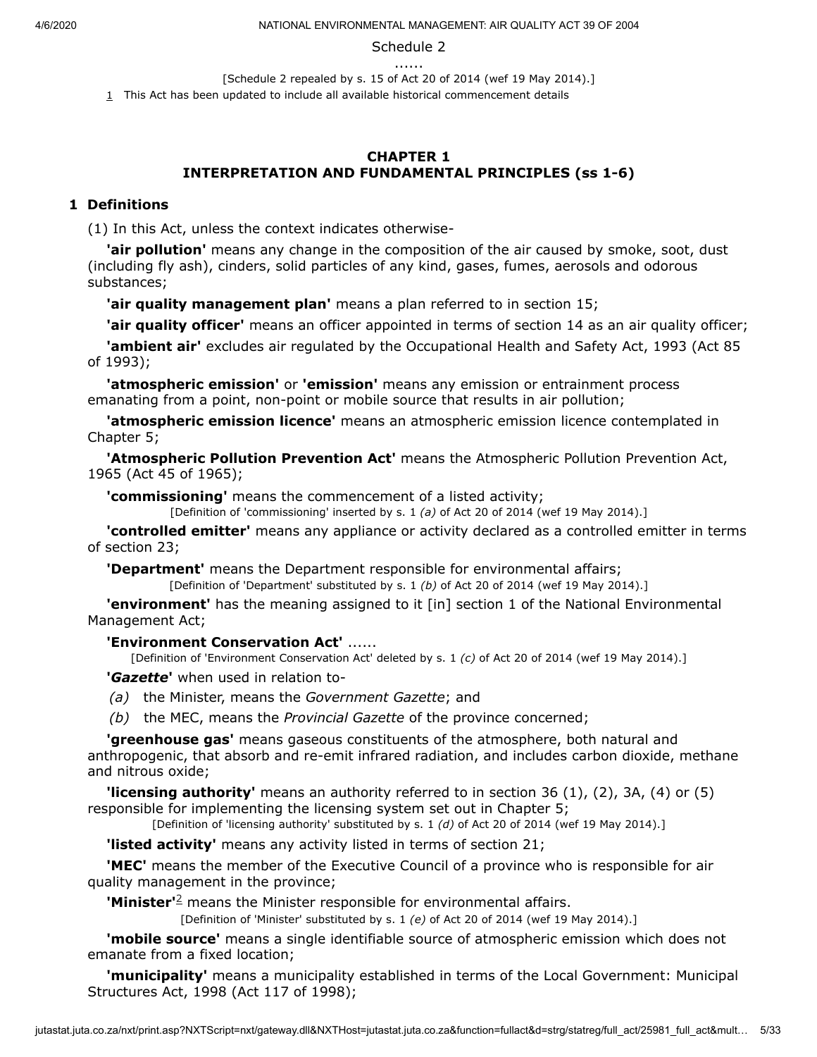#### Schedule 2

......

[Schedule 2 repealed by s. 15 of Act 20 of 2014 (wef 19 May 2014).]

<span id="page-4-0"></span> $1$  This Act has been updated to include all available historical commencement details

#### **CHAPTER 1 INTERPRETATION AND FUNDAMENTAL PRINCIPLES (ss 1-6)**

#### **1 Definitions**

(1) In this Act, unless the context indicates otherwise-

**'air pollution'** means any change in the composition of the air caused by smoke, soot, dust (including fly ash), cinders, solid particles of any kind, gases, fumes, aerosols and odorous substances;

**'air quality management plan'** means a plan referred to in section 15;

**'air quality officer'** means an officer appointed in terms of section 14 as an air quality officer;

**'ambient air'** excludes air regulated by the Occupational Health and Safety Act, 1993 (Act 85 of 1993);

**'atmospheric emission'** or **'emission'** means any emission or entrainment process emanating from a point, non-point or mobile source that results in air pollution;

**'atmospheric emission licence'** means an atmospheric emission licence contemplated in Chapter 5;

**'Atmospheric Pollution Prevention Act'** means the Atmospheric Pollution Prevention Act, 1965 (Act 45 of 1965);

**'commissioning'** means the commencement of a listed activity;

[Definition of 'commissioning' inserted by s. 1 *(a)* of Act 20 of 2014 (wef 19 May 2014).]

**'controlled emitter'** means any appliance or activity declared as a controlled emitter in terms of section 23;

**'Department'** means the Department responsible for environmental affairs;

[Definition of 'Department' substituted by s. 1 *(b)* of Act 20 of 2014 (wef 19 May 2014).]

**'environment'** has the meaning assigned to it [in] section 1 of the National Environmental Management Act;

#### **'Environment Conservation Act'** ......

[Definition of 'Environment Conservation Act' deleted by s. 1 *(c)* of Act 20 of 2014 (wef 19 May 2014).]

**'***Gazette***'** when used in relation to-

- *(a)* the Minister, means the *Government Gazette*; and
- *(b)* the MEC, means the *Provincial Gazette* of the province concerned;

**'greenhouse gas'** means gaseous constituents of the atmosphere, both natural and anthropogenic, that absorb and re-emit infrared radiation, and includes carbon dioxide, methane and nitrous oxide;

**'licensing authority'** means an authority referred to in section 36 (1), (2), 3A, (4) or (5) responsible for implementing the licensing system set out in Chapter 5;

[Definition of 'licensing authority' substituted by s. 1 *(d)* of Act 20 of 2014 (wef 19 May 2014).]

**'listed activity'** means any activity listed in terms of section 21;

**'MEC'** means the member of the Executive Council of a province who is responsible for air quality management in the province;

**'Minister'**<sup>[2](#page-5-0)</sup> means the Minister responsible for environmental affairs.

[Definition of 'Minister' substituted by s. 1 *(e)* of Act 20 of 2014 (wef 19 May 2014).]

**'mobile source'** means a single identifiable source of atmospheric emission which does not emanate from a fixed location;

**'municipality'** means a municipality established in terms of the Local Government: Municipal Structures Act, 1998 (Act 117 of 1998);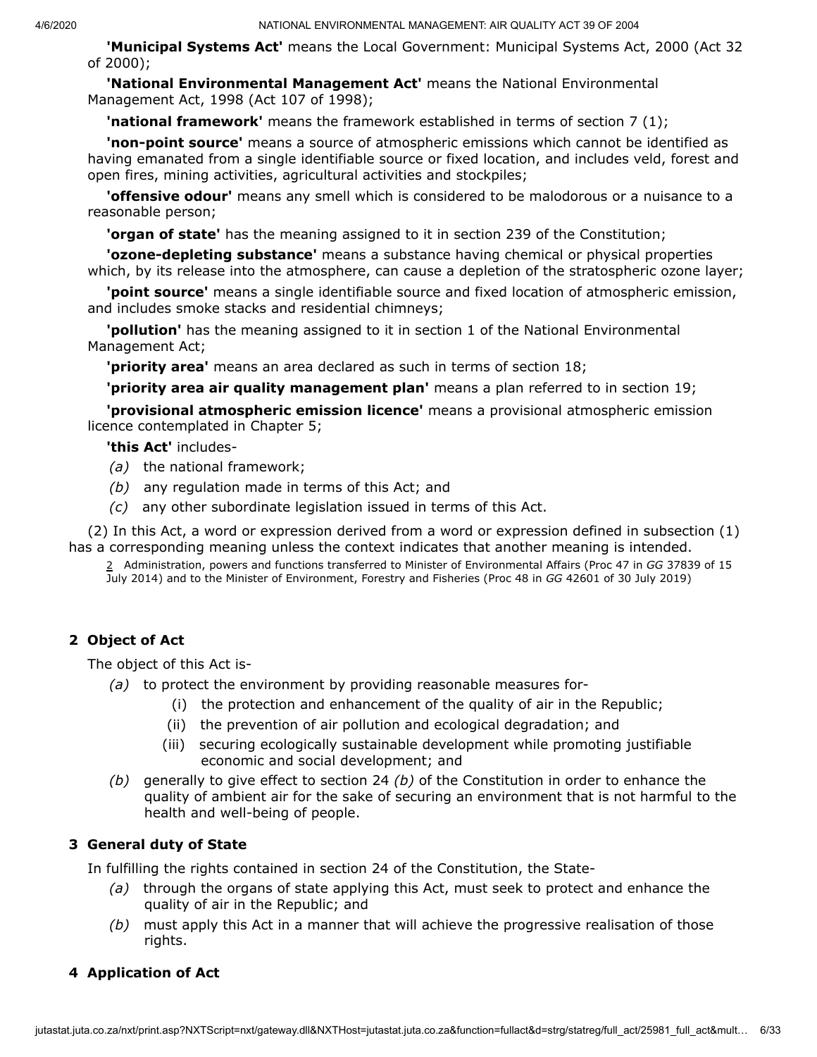**'Municipal Systems Act'** means the Local Government: Municipal Systems Act, 2000 (Act 32 of 2000);

**'National Environmental Management Act'** means the National Environmental Management Act, 1998 (Act 107 of 1998);

**'national framework'** means the framework established in terms of section 7 (1);

**'non-point source'** means a source of atmospheric emissions which cannot be identified as having emanated from a single identifiable source or fixed location, and includes veld, forest and open fires, mining activities, agricultural activities and stockpiles;

**'offensive odour'** means any smell which is considered to be malodorous or a nuisance to a reasonable person;

**'organ of state'** has the meaning assigned to it in section 239 of the Constitution;

**'ozone-depleting substance'** means a substance having chemical or physical properties which, by its release into the atmosphere, can cause a depletion of the stratospheric ozone layer;

**'point source'** means a single identifiable source and fixed location of atmospheric emission, and includes smoke stacks and residential chimneys;

**'pollution'** has the meaning assigned to it in section 1 of the National Environmental Management Act;

**'priority area'** means an area declared as such in terms of section 18;

**'priority area air quality management plan'** means a plan referred to in section 19;

**'provisional atmospheric emission licence'** means a provisional atmospheric emission licence contemplated in Chapter 5;

**'this Act'** includes-

- *(a)* the national framework;
- *(b)* any regulation made in terms of this Act; and
- *(c)* any other subordinate legislation issued in terms of this Act.

<span id="page-5-0"></span>(2) In this Act, a word or expression derived from a word or expression defined in subsection (1) has a corresponding meaning unless the context indicates that another meaning is intended.

2 Administration, powers and functions transferred to Minister of Environmental Affairs (Proc 47 in *GG* 37839 of 15 July 2014) and to the Minister of Environment, Forestry and Fisheries (Proc 48 in *GG* 42601 of 30 July 2019)

# **2 Object of Act**

The object of this Act is-

- *(a)* to protect the environment by providing reasonable measures for-
	- (i) the protection and enhancement of the quality of air in the Republic;
	- (ii) the prevention of air pollution and ecological degradation; and
	- (iii) securing ecologically sustainable development while promoting justifiable economic and social development; and
- *(b)* generally to give effect to section 24 *(b)* of the Constitution in order to enhance the quality of ambient air for the sake of securing an environment that is not harmful to the health and well-being of people.

# **3 General duty of State**

In fulfilling the rights contained in section 24 of the Constitution, the State-

- *(a)* through the organs of state applying this Act, must seek to protect and enhance the quality of air in the Republic; and
- *(b)* must apply this Act in a manner that will achieve the progressive realisation of those rights.

# **4 Application of Act**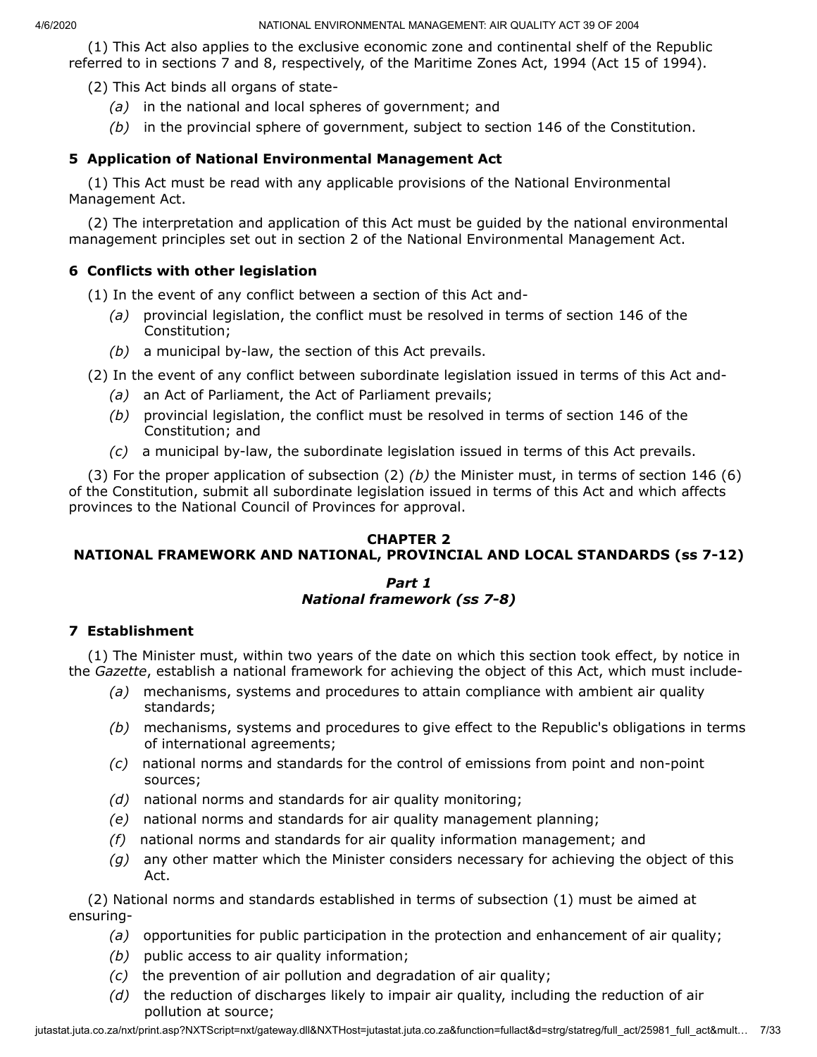(1) This Act also applies to the exclusive economic zone and continental shelf of the Republic referred to in sections 7 and 8, respectively, of the Maritime Zones Act, 1994 (Act 15 of 1994).

(2) This Act binds all organs of state-

- *(a)* in the national and local spheres of government; and
- *(b)* in the provincial sphere of government, subject to section 146 of the Constitution.

# **5 Application of National Environmental Management Act**

(1) This Act must be read with any applicable provisions of the National Environmental Management Act.

(2) The interpretation and application of this Act must be guided by the national environmental management principles set out in section 2 of the National Environmental Management Act.

## **6 Conflicts with other legislation**

(1) In the event of any conflict between a section of this Act and-

- *(a)* provincial legislation, the conflict must be resolved in terms of section 146 of the Constitution;
- *(b)* a municipal by-law, the section of this Act prevails.

(2) In the event of any conflict between subordinate legislation issued in terms of this Act and-

- *(a)* an Act of Parliament, the Act of Parliament prevails;
- *(b)* provincial legislation, the conflict must be resolved in terms of section 146 of the Constitution; and
- *(c)* a municipal by-law, the subordinate legislation issued in terms of this Act prevails.

(3) For the proper application of subsection (2) *(b)* the Minister must, in terms of section 146 (6) of the Constitution, submit all subordinate legislation issued in terms of this Act and which affects provinces to the National Council of Provinces for approval.

# **CHAPTER 2**

# **NATIONAL FRAMEWORK AND NATIONAL, PROVINCIAL AND LOCAL STANDARDS (ss 7-12)**

#### *Part 1 National framework (ss 7-8)*

# **7 Establishment**

(1) The Minister must, within two years of the date on which this section took effect, by notice in the *Gazette*, establish a national framework for achieving the object of this Act, which must include-

- *(a)* mechanisms, systems and procedures to attain compliance with ambient air quality standards;
- *(b)* mechanisms, systems and procedures to give effect to the Republic's obligations in terms of international agreements;
- *(c)* national norms and standards for the control of emissions from point and non-point sources;
- *(d)* national norms and standards for air quality monitoring;
- *(e)* national norms and standards for air quality management planning;
- *(f)* national norms and standards for air quality information management; and
- *(g)* any other matter which the Minister considers necessary for achieving the object of this Act.

(2) National norms and standards established in terms of subsection (1) must be aimed at ensuring-

- *(a)* opportunities for public participation in the protection and enhancement of air quality;
- *(b)* public access to air quality information;
- *(c)* the prevention of air pollution and degradation of air quality;
- *(d)* the reduction of discharges likely to impair air quality, including the reduction of air pollution at source;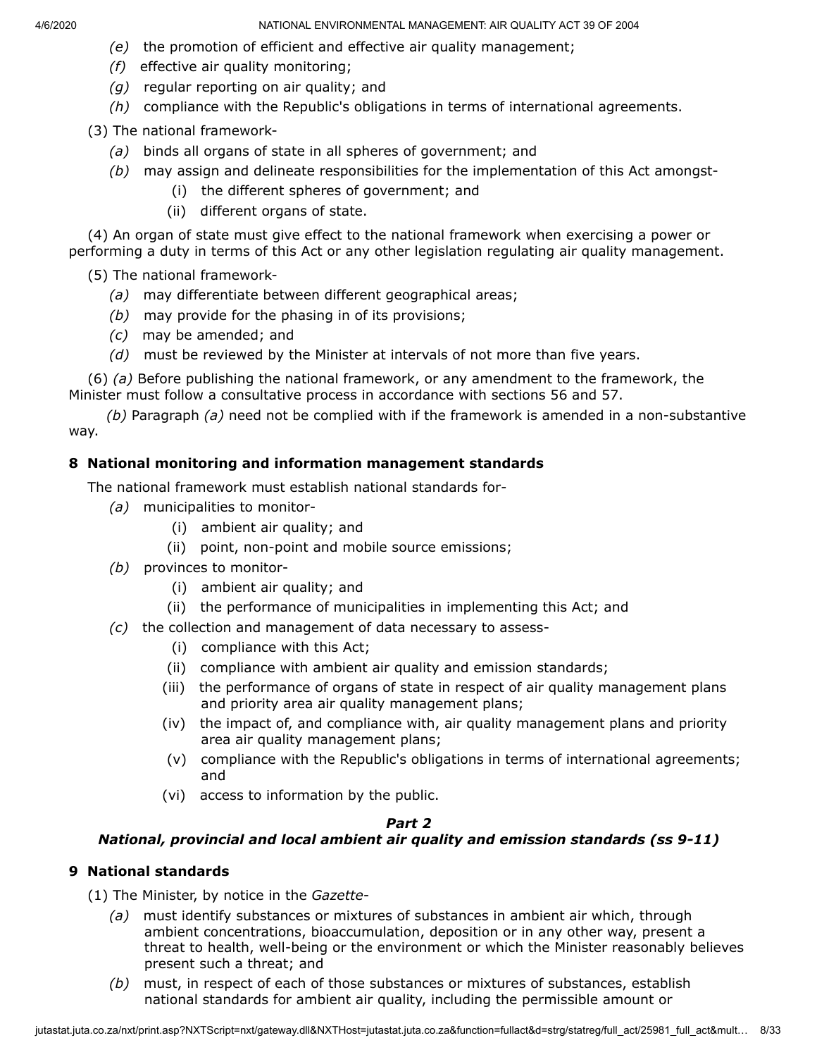- *(e)* the promotion of efficient and effective air quality management;
- *(f)* effective air quality monitoring;
- *(g)* regular reporting on air quality; and
- *(h)* compliance with the Republic's obligations in terms of international agreements.

(3) The national framework-

- *(a)* binds all organs of state in all spheres of government; and
- *(b)* may assign and delineate responsibilities for the implementation of this Act amongst-
	- (i) the different spheres of government; and
	- (ii) different organs of state.

(4) An organ of state must give effect to the national framework when exercising a power or performing a duty in terms of this Act or any other legislation regulating air quality management.

(5) The national framework-

- *(a)* may differentiate between different geographical areas;
- *(b)* may provide for the phasing in of its provisions;
- *(c)* may be amended; and
- *(d)* must be reviewed by the Minister at intervals of not more than five years.

(6) *(a)* Before publishing the national framework, or any amendment to the framework, the Minister must follow a consultative process in accordance with sections 56 and 57.

*(b)* Paragraph *(a)* need not be complied with if the framework is amended in a non-substantive way.

## **8 National monitoring and information management standards**

The national framework must establish national standards for-

- *(a)* municipalities to monitor-
	- (i) ambient air quality; and
	- (ii) point, non-point and mobile source emissions;
- *(b)* provinces to monitor-
	- (i) ambient air quality; and
	- (ii) the performance of municipalities in implementing this Act; and
- *(c)* the collection and management of data necessary to assess-
	- (i) compliance with this Act;
	- (ii) compliance with ambient air quality and emission standards;
	- (iii) the performance of organs of state in respect of air quality management plans and priority area air quality management plans;
	- (iv) the impact of, and compliance with, air quality management plans and priority area air quality management plans;
	- (v) compliance with the Republic's obligations in terms of international agreements; and
	- (vi) access to information by the public.

#### *Part 2*

# *National, provincial and local ambient air quality and emission standards (ss 9-11)*

#### **9 National standards**

- (1) The Minister, by notice in the *Gazette*
	- *(a)* must identify substances or mixtures of substances in ambient air which, through ambient concentrations, bioaccumulation, deposition or in any other way, present a threat to health, well-being or the environment or which the Minister reasonably believes present such a threat; and
	- *(b)* must, in respect of each of those substances or mixtures of substances, establish national standards for ambient air quality, including the permissible amount or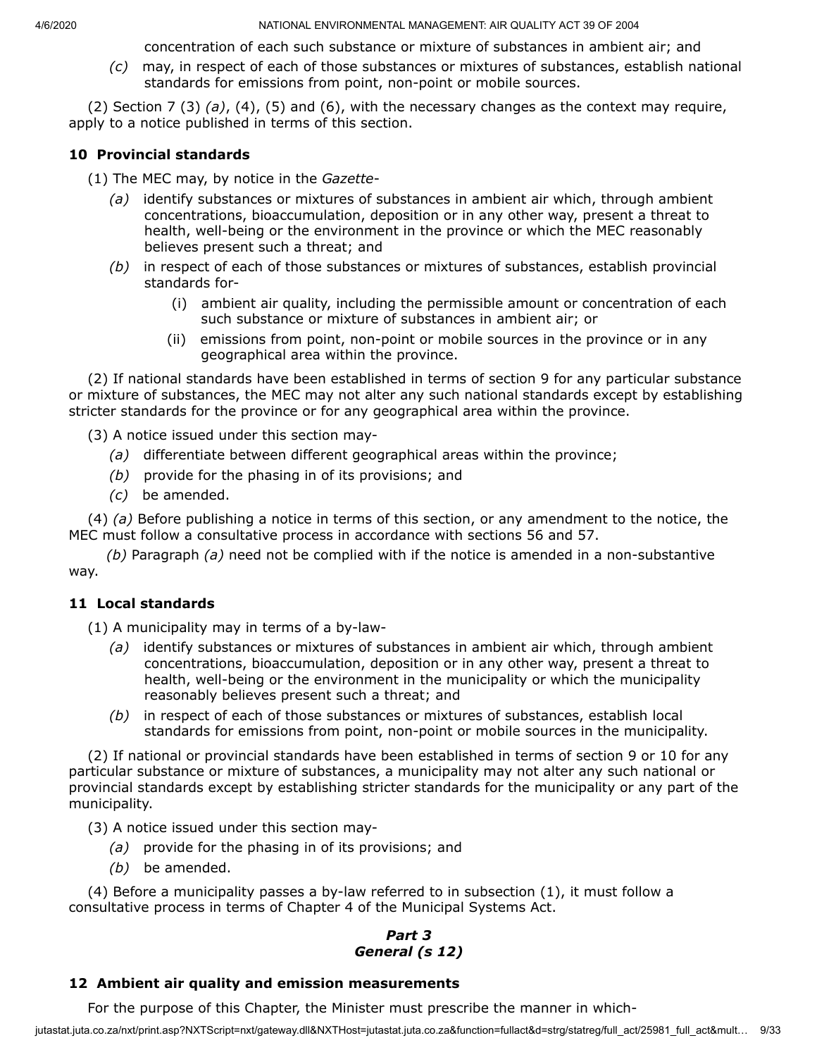concentration of each such substance or mixture of substances in ambient air; and

*(c)* may, in respect of each of those substances or mixtures of substances, establish national standards for emissions from point, non-point or mobile sources.

(2) Section 7 (3) *(a)*, (4), (5) and (6), with the necessary changes as the context may require, apply to a notice published in terms of this section.

## **10 Provincial standards**

- (1) The MEC may, by notice in the *Gazette*
	- *(a)* identify substances or mixtures of substances in ambient air which, through ambient concentrations, bioaccumulation, deposition or in any other way, present a threat to health, well-being or the environment in the province or which the MEC reasonably believes present such a threat; and
	- *(b)* in respect of each of those substances or mixtures of substances, establish provincial standards for-
		- (i) ambient air quality, including the permissible amount or concentration of each such substance or mixture of substances in ambient air; or
		- (ii) emissions from point, non-point or mobile sources in the province or in any geographical area within the province.

(2) If national standards have been established in terms of section 9 for any particular substance or mixture of substances, the MEC may not alter any such national standards except by establishing stricter standards for the province or for any geographical area within the province.

(3) A notice issued under this section may-

- *(a)* differentiate between different geographical areas within the province;
- *(b)* provide for the phasing in of its provisions; and
- *(c)* be amended.

(4) *(a)* Before publishing a notice in terms of this section, or any amendment to the notice, the MEC must follow a consultative process in accordance with sections 56 and 57.

*(b)* Paragraph *(a)* need not be complied with if the notice is amended in a non-substantive way.

#### **11 Local standards**

(1) A municipality may in terms of a by-law-

- *(a)* identify substances or mixtures of substances in ambient air which, through ambient concentrations, bioaccumulation, deposition or in any other way, present a threat to health, well-being or the environment in the municipality or which the municipality reasonably believes present such a threat; and
- *(b)* in respect of each of those substances or mixtures of substances, establish local standards for emissions from point, non-point or mobile sources in the municipality.

(2) If national or provincial standards have been established in terms of section 9 or 10 for any particular substance or mixture of substances, a municipality may not alter any such national or provincial standards except by establishing stricter standards for the municipality or any part of the municipality.

- (3) A notice issued under this section may-
	- *(a)* provide for the phasing in of its provisions; and
	- *(b)* be amended.

(4) Before a municipality passes a by-law referred to in subsection (1), it must follow a consultative process in terms of Chapter 4 of the Municipal Systems Act.

# *Part 3 General (s 12)*

#### **12 Ambient air quality and emission measurements**

For the purpose of this Chapter, the Minister must prescribe the manner in which-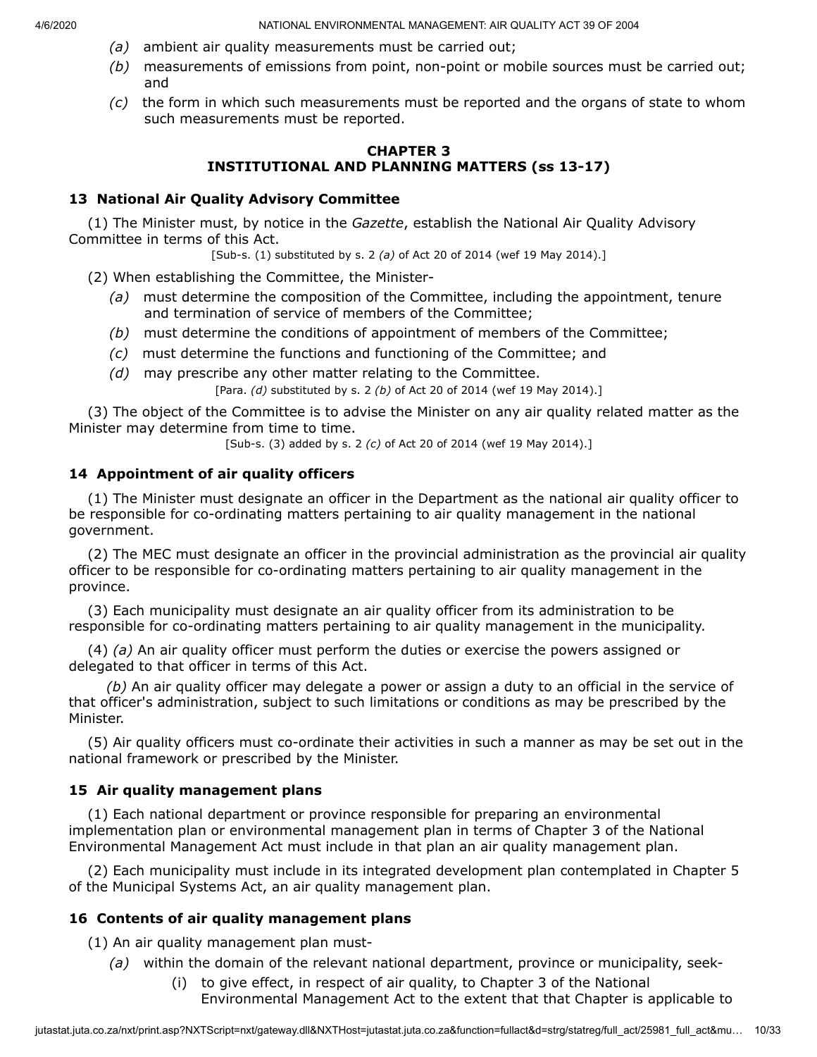- *(a)* ambient air quality measurements must be carried out;
- *(b)* measurements of emissions from point, non-point or mobile sources must be carried out; and
- *(c)* the form in which such measurements must be reported and the organs of state to whom such measurements must be reported.

## **CHAPTER 3 INSTITUTIONAL AND PLANNING MATTERS (ss 13-17)**

# **13 National Air Quality Advisory Committee**

(1) The Minister must, by notice in the *Gazette*, establish the National Air Quality Advisory Committee in terms of this Act.

[Sub-s. (1) substituted by s. 2 *(a)* of Act 20 of 2014 (wef 19 May 2014).]

(2) When establishing the Committee, the Minister-

- *(a)* must determine the composition of the Committee, including the appointment, tenure and termination of service of members of the Committee;
- *(b)* must determine the conditions of appointment of members of the Committee;
- *(c)* must determine the functions and functioning of the Committee; and
- *(d)* may prescribe any other matter relating to the Committee.

[Para. *(d)* substituted by s. 2 *(b)* of Act 20 of 2014 (wef 19 May 2014).]

(3) The object of the Committee is to advise the Minister on any air quality related matter as the Minister may determine from time to time.

[Sub-s. (3) added by s. 2 *(c)* of Act 20 of 2014 (wef 19 May 2014).]

# **14 Appointment of air quality officers**

(1) The Minister must designate an officer in the Department as the national air quality officer to be responsible for co-ordinating matters pertaining to air quality management in the national government.

(2) The MEC must designate an officer in the provincial administration as the provincial air quality officer to be responsible for co-ordinating matters pertaining to air quality management in the province.

(3) Each municipality must designate an air quality officer from its administration to be responsible for co-ordinating matters pertaining to air quality management in the municipality.

(4) *(a)* An air quality officer must perform the duties or exercise the powers assigned or delegated to that officer in terms of this Act.

*(b)* An air quality officer may delegate a power or assign a duty to an official in the service of that officer's administration, subject to such limitations or conditions as may be prescribed by the Minister.

(5) Air quality officers must co-ordinate their activities in such a manner as may be set out in the national framework or prescribed by the Minister.

# **15 Air quality management plans**

(1) Each national department or province responsible for preparing an environmental implementation plan or environmental management plan in terms of Chapter 3 of the National Environmental Management Act must include in that plan an air quality management plan.

(2) Each municipality must include in its integrated development plan contemplated in Chapter 5 of the Municipal Systems Act, an air quality management plan.

# **16 Contents of air quality management plans**

(1) An air quality management plan must-

- *(a)* within the domain of the relevant national department, province or municipality, seek-
	- (i) to give effect, in respect of air quality, to Chapter 3 of the National Environmental Management Act to the extent that that Chapter is applicable to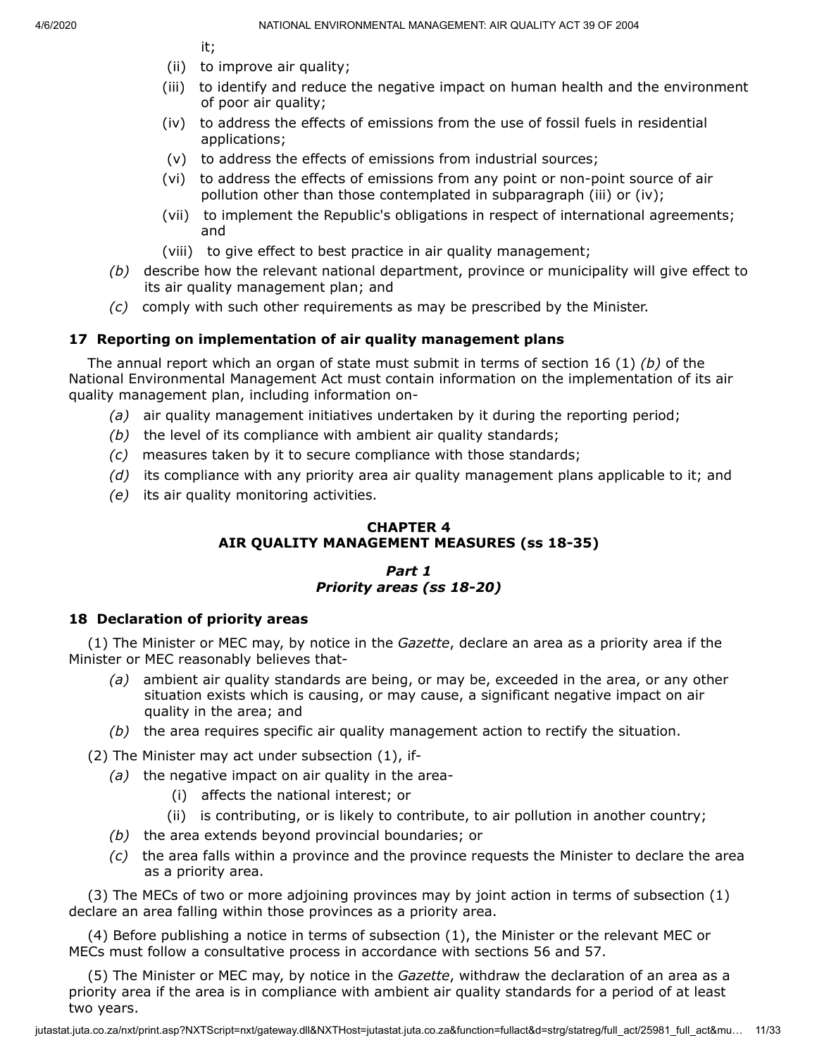it;

- (ii) to improve air quality;
- (iii) to identify and reduce the negative impact on human health and the environment of poor air quality;
- (iv) to address the effects of emissions from the use of fossil fuels in residential applications;
- (v) to address the effects of emissions from industrial sources;
- (vi) to address the effects of emissions from any point or non-point source of air pollution other than those contemplated in subparagraph (iii) or (iv);
- (vii) to implement the Republic's obligations in respect of international agreements; and
- (viii) to give effect to best practice in air quality management;
- *(b)* describe how the relevant national department, province or municipality will give effect to its air quality management plan; and
- *(c)* comply with such other requirements as may be prescribed by the Minister.

# **17 Reporting on implementation of air quality management plans**

The annual report which an organ of state must submit in terms of section 16 (1) *(b)* of the National Environmental Management Act must contain information on the implementation of its air quality management plan, including information on-

- *(a)* air quality management initiatives undertaken by it during the reporting period;
- *(b)* the level of its compliance with ambient air quality standards;
- *(c)* measures taken by it to secure compliance with those standards;
- *(d)* its compliance with any priority area air quality management plans applicable to it; and
- *(e)* its air quality monitoring activities.

## **CHAPTER 4 AIR QUALITY MANAGEMENT MEASURES (ss 18-35)**

# *Part 1 Priority areas (ss 18-20)*

# **18 Declaration of priority areas**

(1) The Minister or MEC may, by notice in the *Gazette*, declare an area as a priority area if the Minister or MEC reasonably believes that-

- *(a)* ambient air quality standards are being, or may be, exceeded in the area, or any other situation exists which is causing, or may cause, a significant negative impact on air quality in the area; and
- *(b)* the area requires specific air quality management action to rectify the situation.

(2) The Minister may act under subsection (1), if-

- *(a)* the negative impact on air quality in the area-
	- (i) affects the national interest; or
	- (ii) is contributing, or is likely to contribute, to air pollution in another country;
- *(b)* the area extends beyond provincial boundaries; or
- *(c)* the area falls within a province and the province requests the Minister to declare the area as a priority area.

(3) The MECs of two or more adjoining provinces may by joint action in terms of subsection (1) declare an area falling within those provinces as a priority area.

(4) Before publishing a notice in terms of subsection (1), the Minister or the relevant MEC or MECs must follow a consultative process in accordance with sections 56 and 57.

(5) The Minister or MEC may, by notice in the *Gazette*, withdraw the declaration of an area as a priority area if the area is in compliance with ambient air quality standards for a period of at least two years.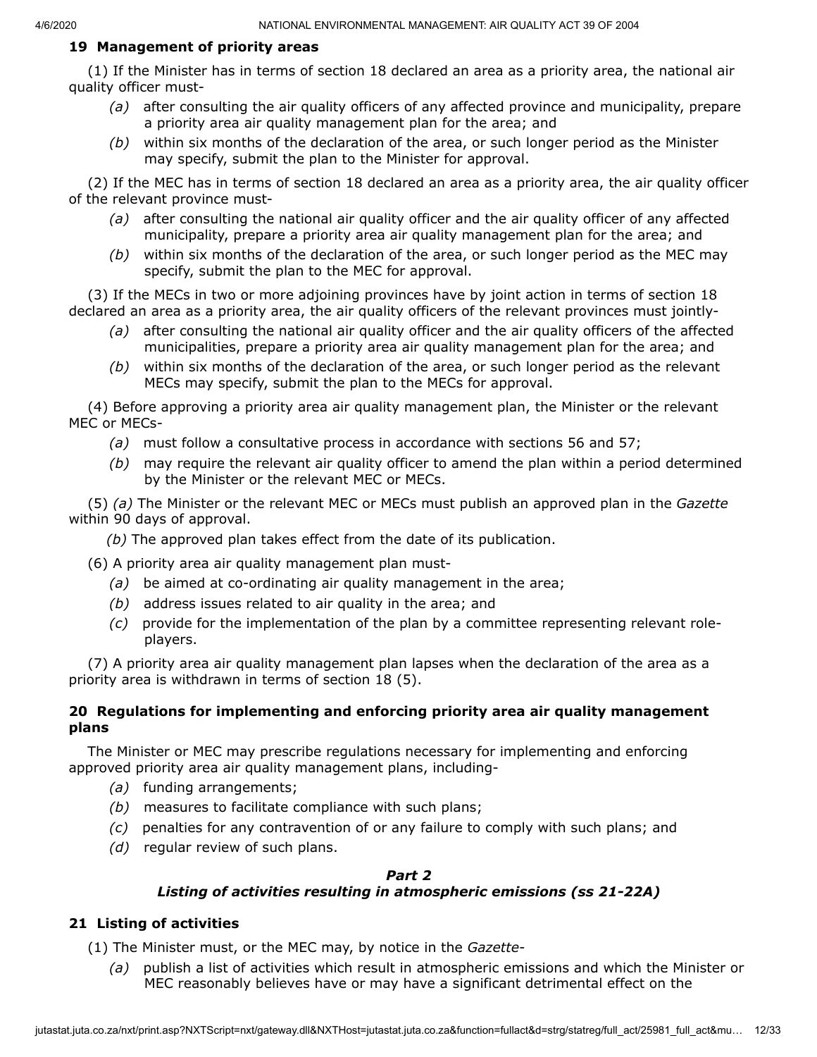#### **19 Management of priority areas**

(1) If the Minister has in terms of section 18 declared an area as a priority area, the national air quality officer must-

- *(a)* after consulting the air quality officers of any affected province and municipality, prepare a priority area air quality management plan for the area; and
- *(b)* within six months of the declaration of the area, or such longer period as the Minister may specify, submit the plan to the Minister for approval.

(2) If the MEC has in terms of section 18 declared an area as a priority area, the air quality officer of the relevant province must-

- *(a)* after consulting the national air quality officer and the air quality officer of any affected municipality, prepare a priority area air quality management plan for the area; and
- *(b)* within six months of the declaration of the area, or such longer period as the MEC may specify, submit the plan to the MEC for approval.

(3) If the MECs in two or more adjoining provinces have by joint action in terms of section 18 declared an area as a priority area, the air quality officers of the relevant provinces must jointly-

- *(a)* after consulting the national air quality officer and the air quality officers of the affected municipalities, prepare a priority area air quality management plan for the area; and
- *(b)* within six months of the declaration of the area, or such longer period as the relevant MECs may specify, submit the plan to the MECs for approval.

(4) Before approving a priority area air quality management plan, the Minister or the relevant MEC or MECs-

- *(a)* must follow a consultative process in accordance with sections 56 and 57;
- *(b)* may require the relevant air quality officer to amend the plan within a period determined by the Minister or the relevant MEC or MECs.

(5) *(a)* The Minister or the relevant MEC or MECs must publish an approved plan in the *Gazette* within 90 days of approval.

- *(b)* The approved plan takes effect from the date of its publication.
- (6) A priority area air quality management plan must-
	- *(a)* be aimed at co-ordinating air quality management in the area;
	- *(b)* address issues related to air quality in the area; and
	- *(c)* provide for the implementation of the plan by a committee representing relevant roleplayers.

(7) A priority area air quality management plan lapses when the declaration of the area as a priority area is withdrawn in terms of section 18 (5).

## **20 Regulations for implementing and enforcing priority area air quality management plans**

The Minister or MEC may prescribe regulations necessary for implementing and enforcing approved priority area air quality management plans, including-

- *(a)* funding arrangements;
- *(b)* measures to facilitate compliance with such plans;
- *(c)* penalties for any contravention of or any failure to comply with such plans; and
- *(d)* regular review of such plans.

#### *Part 2*

# *Listing of activities resulting in atmospheric emissions (ss 21-22A)*

# **21 Listing of activities**

(1) The Minister must, or the MEC may, by notice in the *Gazette*-

*(a)* publish a list of activities which result in atmospheric emissions and which the Minister or MEC reasonably believes have or may have a significant detrimental effect on the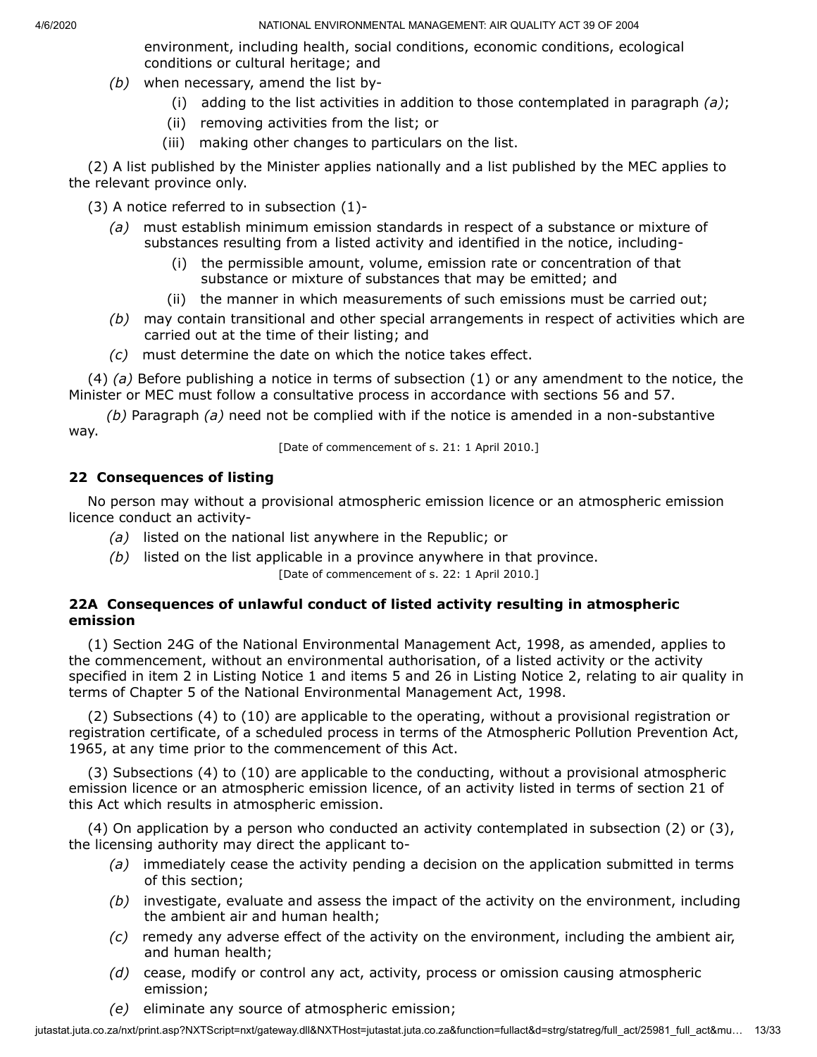environment, including health, social conditions, economic conditions, ecological conditions or cultural heritage; and

- *(b)* when necessary, amend the list by-
	- (i) adding to the list activities in addition to those contemplated in paragraph *(a)*;
	- (ii) removing activities from the list; or
	- (iii) making other changes to particulars on the list.

(2) A list published by the Minister applies nationally and a list published by the MEC applies to the relevant province only.

(3) A notice referred to in subsection (1)-

- *(a)* must establish minimum emission standards in respect of a substance or mixture of substances resulting from a listed activity and identified in the notice, including-
	- (i) the permissible amount, volume, emission rate or concentration of that substance or mixture of substances that may be emitted; and
	- (ii) the manner in which measurements of such emissions must be carried out;
- *(b)* may contain transitional and other special arrangements in respect of activities which are carried out at the time of their listing; and
- *(c)* must determine the date on which the notice takes effect.

(4) *(a)* Before publishing a notice in terms of subsection (1) or any amendment to the notice, the Minister or MEC must follow a consultative process in accordance with sections 56 and 57.

*(b)* Paragraph *(a)* need not be complied with if the notice is amended in a non-substantive way.

[Date of commencement of s. 21: 1 April 2010.]

# **22 Consequences of listing**

No person may without a provisional atmospheric emission licence or an atmospheric emission licence conduct an activity-

- *(a)* listed on the national list anywhere in the Republic; or
- *(b)* listed on the list applicable in a province anywhere in that province.

[Date of commencement of s. 22: 1 April 2010.]

# **22A Consequences of unlawful conduct of listed activity resulting in atmospheric emission**

(1) Section 24G of the National Environmental Management Act, 1998, as amended, applies to the commencement, without an environmental authorisation, of a listed activity or the activity specified in item 2 in Listing Notice 1 and items 5 and 26 in Listing Notice 2, relating to air quality in terms of Chapter 5 of the National Environmental Management Act, 1998.

(2) Subsections (4) to (10) are applicable to the operating, without a provisional registration or registration certificate, of a scheduled process in terms of the Atmospheric Pollution Prevention Act, 1965, at any time prior to the commencement of this Act.

(3) Subsections (4) to (10) are applicable to the conducting, without a provisional atmospheric emission licence or an atmospheric emission licence, of an activity listed in terms of section 21 of this Act which results in atmospheric emission.

(4) On application by a person who conducted an activity contemplated in subsection (2) or (3), the licensing authority may direct the applicant to-

- *(a)* immediately cease the activity pending a decision on the application submitted in terms of this section;
- *(b)* investigate, evaluate and assess the impact of the activity on the environment, including the ambient air and human health;
- *(c)* remedy any adverse effect of the activity on the environment, including the ambient air, and human health;
- *(d)* cease, modify or control any act, activity, process or omission causing atmospheric emission;
- *(e)* eliminate any source of atmospheric emission;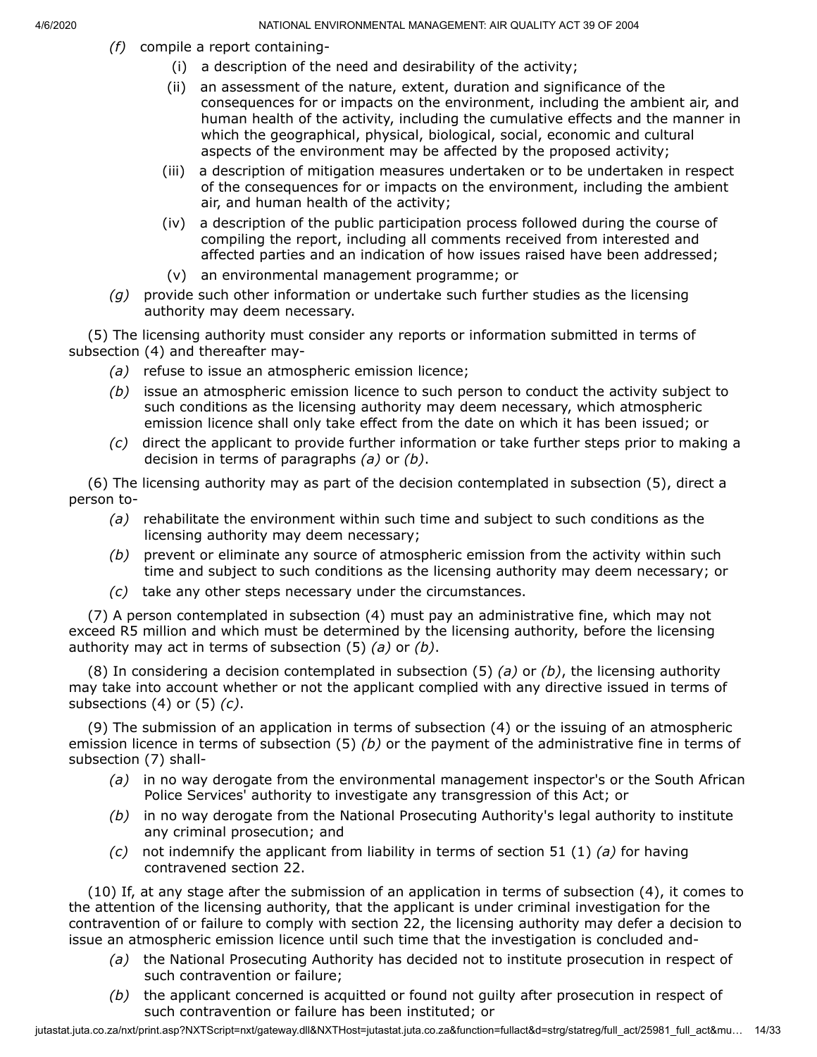- *(f)* compile a report containing-
	- (i) a description of the need and desirability of the activity;
	- (ii) an assessment of the nature, extent, duration and significance of the consequences for or impacts on the environment, including the ambient air, and human health of the activity, including the cumulative effects and the manner in which the geographical, physical, biological, social, economic and cultural aspects of the environment may be affected by the proposed activity;
	- (iii) a description of mitigation measures undertaken or to be undertaken in respect of the consequences for or impacts on the environment, including the ambient air, and human health of the activity;
	- (iv) a description of the public participation process followed during the course of compiling the report, including all comments received from interested and affected parties and an indication of how issues raised have been addressed;
	- (v) an environmental management programme; or
- *(g)* provide such other information or undertake such further studies as the licensing authority may deem necessary.

(5) The licensing authority must consider any reports or information submitted in terms of subsection (4) and thereafter may-

- *(a)* refuse to issue an atmospheric emission licence;
- *(b)* issue an atmospheric emission licence to such person to conduct the activity subject to such conditions as the licensing authority may deem necessary, which atmospheric emission licence shall only take effect from the date on which it has been issued; or
- *(c)* direct the applicant to provide further information or take further steps prior to making a decision in terms of paragraphs *(a)* or *(b)*.

(6) The licensing authority may as part of the decision contemplated in subsection (5), direct a person to-

- *(a)* rehabilitate the environment within such time and subject to such conditions as the licensing authority may deem necessary;
- *(b)* prevent or eliminate any source of atmospheric emission from the activity within such time and subject to such conditions as the licensing authority may deem necessary; or
- *(c)* take any other steps necessary under the circumstances.

(7) A person contemplated in subsection (4) must pay an administrative fine, which may not exceed R5 million and which must be determined by the licensing authority, before the licensing authority may act in terms of subsection (5) *(a)* or *(b)*.

(8) In considering a decision contemplated in subsection (5) *(a)* or *(b)*, the licensing authority may take into account whether or not the applicant complied with any directive issued in terms of subsections (4) or (5) *(c)*.

(9) The submission of an application in terms of subsection (4) or the issuing of an atmospheric emission licence in terms of subsection (5) *(b)* or the payment of the administrative fine in terms of subsection (7) shall-

- *(a)* in no way derogate from the environmental management inspector's or the South African Police Services' authority to investigate any transgression of this Act; or
- *(b)* in no way derogate from the National Prosecuting Authority's legal authority to institute any criminal prosecution; and
- *(c)* not indemnify the applicant from liability in terms of section 51 (1) *(a)* for having contravened section 22.

(10) If, at any stage after the submission of an application in terms of subsection (4), it comes to the attention of the licensing authority, that the applicant is under criminal investigation for the contravention of or failure to comply with section 22, the licensing authority may defer a decision to issue an atmospheric emission licence until such time that the investigation is concluded and-

- *(a)* the National Prosecuting Authority has decided not to institute prosecution in respect of such contravention or failure;
- *(b)* the applicant concerned is acquitted or found not guilty after prosecution in respect of such contravention or failure has been instituted; or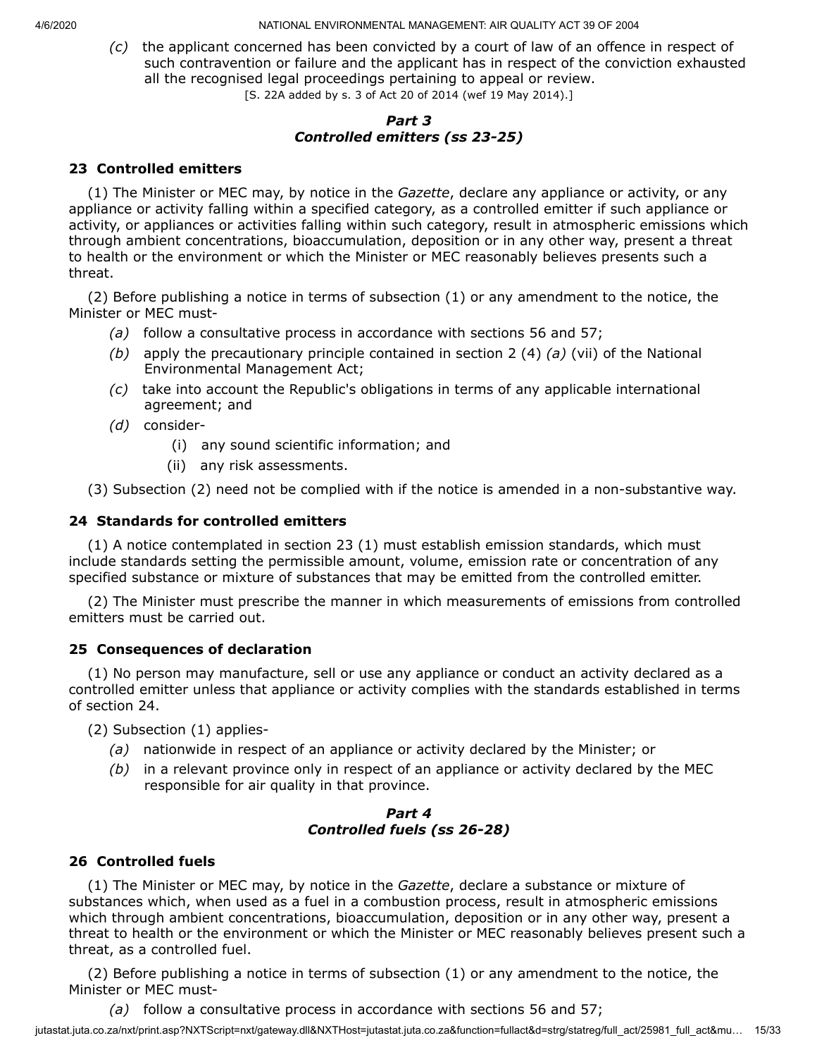*(c)* the applicant concerned has been convicted by a court of law of an offence in respect of such contravention or failure and the applicant has in respect of the conviction exhausted all the recognised legal proceedings pertaining to appeal or review. [S. 22A added by s. 3 of Act 20 of 2014 (wef 19 May 2014).]

## *Part 3 Controlled emitters (ss 23-25)*

## **23 Controlled emitters**

(1) The Minister or MEC may, by notice in the *Gazette*, declare any appliance or activity, or any appliance or activity falling within a specified category, as a controlled emitter if such appliance or activity, or appliances or activities falling within such category, result in atmospheric emissions which through ambient concentrations, bioaccumulation, deposition or in any other way, present a threat to health or the environment or which the Minister or MEC reasonably believes presents such a threat.

(2) Before publishing a notice in terms of subsection (1) or any amendment to the notice, the Minister or MEC must-

- *(a)* follow a consultative process in accordance with sections 56 and 57;
- *(b)* apply the precautionary principle contained in section 2 (4) *(a)* (vii) of the National Environmental Management Act;
- *(c)* take into account the Republic's obligations in terms of any applicable international agreement; and
- *(d)* consider-
	- (i) any sound scientific information; and
	- (ii) any risk assessments.

(3) Subsection (2) need not be complied with if the notice is amended in a non-substantive way.

#### **24 Standards for controlled emitters**

(1) A notice contemplated in section 23 (1) must establish emission standards, which must include standards setting the permissible amount, volume, emission rate or concentration of any specified substance or mixture of substances that may be emitted from the controlled emitter.

(2) The Minister must prescribe the manner in which measurements of emissions from controlled emitters must be carried out.

#### **25 Consequences of declaration**

(1) No person may manufacture, sell or use any appliance or conduct an activity declared as a controlled emitter unless that appliance or activity complies with the standards established in terms of section 24.

(2) Subsection (1) applies-

- *(a)* nationwide in respect of an appliance or activity declared by the Minister; or
- *(b)* in a relevant province only in respect of an appliance or activity declared by the MEC responsible for air quality in that province.

## *Part 4 Controlled fuels (ss 26-28)*

#### **26 Controlled fuels**

(1) The Minister or MEC may, by notice in the *Gazette*, declare a substance or mixture of substances which, when used as a fuel in a combustion process, result in atmospheric emissions which through ambient concentrations, bioaccumulation, deposition or in any other way, present a threat to health or the environment or which the Minister or MEC reasonably believes present such a threat, as a controlled fuel.

(2) Before publishing a notice in terms of subsection (1) or any amendment to the notice, the Minister or MEC must-

*(a)* follow a consultative process in accordance with sections 56 and 57;

jutastat.juta.co.za/nxt/print.asp?NXTScript=nxt/gateway.dll&NXTHost=jutastat.juta.co.za&function=fullact&d=strg/statreg/full\_act/25981\_full\_act&mu… 15/33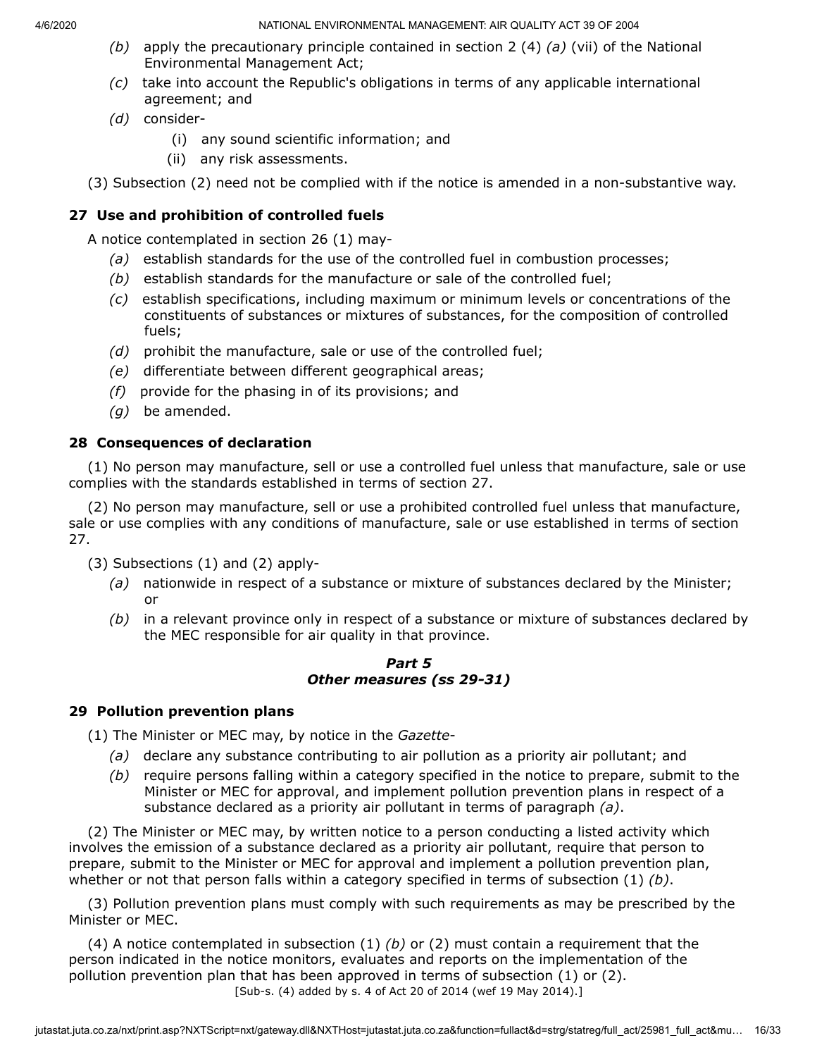- *(b)* apply the precautionary principle contained in section 2 (4) *(a)* (vii) of the National Environmental Management Act;
- *(c)* take into account the Republic's obligations in terms of any applicable international agreement; and
- *(d)* consider-
	- (i) any sound scientific information; and
	- (ii) any risk assessments.
- (3) Subsection (2) need not be complied with if the notice is amended in a non-substantive way.

# **27 Use and prohibition of controlled fuels**

A notice contemplated in section 26 (1) may-

- *(a)* establish standards for the use of the controlled fuel in combustion processes;
- *(b)* establish standards for the manufacture or sale of the controlled fuel;
- *(c)* establish specifications, including maximum or minimum levels or concentrations of the constituents of substances or mixtures of substances, for the composition of controlled fuels;
- *(d)* prohibit the manufacture, sale or use of the controlled fuel;
- *(e)* differentiate between different geographical areas;
- *(f)* provide for the phasing in of its provisions; and
- *(g)* be amended.

## **28 Consequences of declaration**

(1) No person may manufacture, sell or use a controlled fuel unless that manufacture, sale or use complies with the standards established in terms of section 27.

(2) No person may manufacture, sell or use a prohibited controlled fuel unless that manufacture, sale or use complies with any conditions of manufacture, sale or use established in terms of section 27.

(3) Subsections (1) and (2) apply-

- *(a)* nationwide in respect of a substance or mixture of substances declared by the Minister; or
- *(b)* in a relevant province only in respect of a substance or mixture of substances declared by the MEC responsible for air quality in that province.

#### *Part 5 Other measures (ss 29-31)*

#### **29 Pollution prevention plans**

(1) The Minister or MEC may, by notice in the *Gazette*-

- *(a)* declare any substance contributing to air pollution as a priority air pollutant; and
- *(b)* require persons falling within a category specified in the notice to prepare, submit to the Minister or MEC for approval, and implement pollution prevention plans in respect of a substance declared as a priority air pollutant in terms of paragraph *(a)*.

(2) The Minister or MEC may, by written notice to a person conducting a listed activity which involves the emission of a substance declared as a priority air pollutant, require that person to prepare, submit to the Minister or MEC for approval and implement a pollution prevention plan, whether or not that person falls within a category specified in terms of subsection (1) *(b)*.

(3) Pollution prevention plans must comply with such requirements as may be prescribed by the Minister or MEC.

(4) A notice contemplated in subsection (1) *(b)* or (2) must contain a requirement that the person indicated in the notice monitors, evaluates and reports on the implementation of the pollution prevention plan that has been approved in terms of subsection (1) or (2). [Sub-s. (4) added by s. 4 of Act 20 of 2014 (wef 19 May 2014).]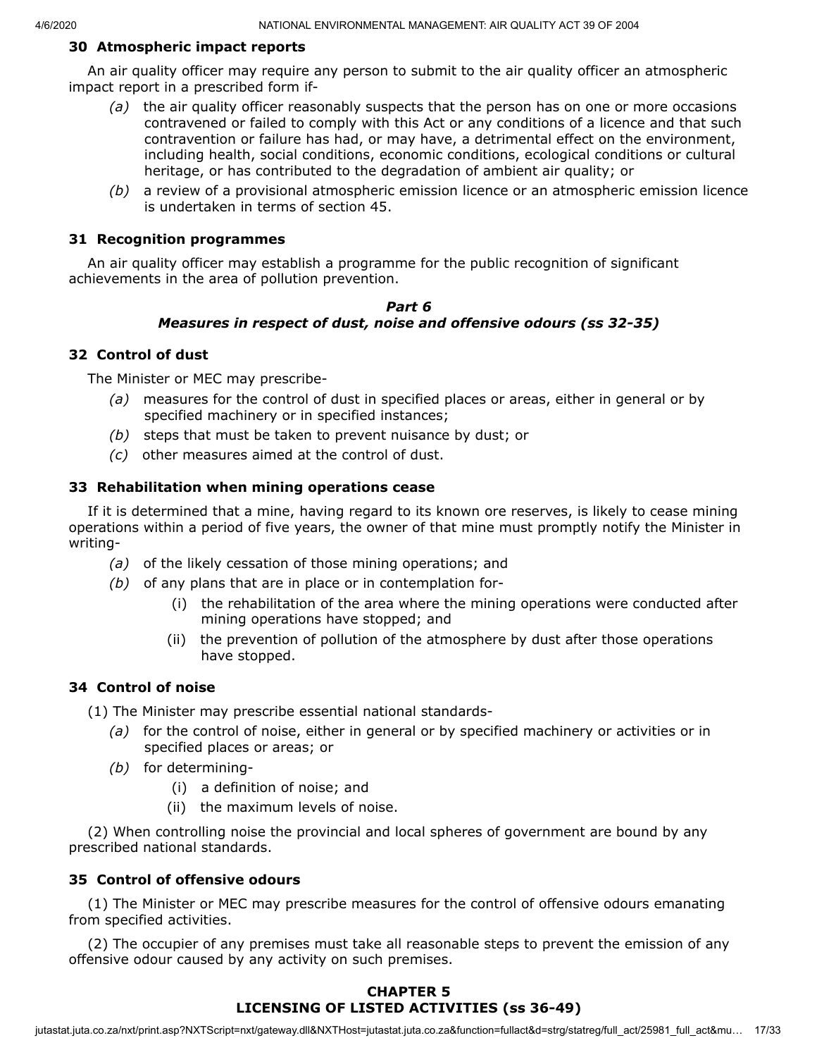#### **30 Atmospheric impact reports**

An air quality officer may require any person to submit to the air quality officer an atmospheric impact report in a prescribed form if-

- *(a)* the air quality officer reasonably suspects that the person has on one or more occasions contravened or failed to comply with this Act or any conditions of a licence and that such contravention or failure has had, or may have, a detrimental effect on the environment, including health, social conditions, economic conditions, ecological conditions or cultural heritage, or has contributed to the degradation of ambient air quality; or
- *(b)* a review of a provisional atmospheric emission licence or an atmospheric emission licence is undertaken in terms of section 45.

#### **31 Recognition programmes**

An air quality officer may establish a programme for the public recognition of significant achievements in the area of pollution prevention.

#### *Part 6 Measures in respect of dust, noise and offensive odours (ss 32-35)*

#### **32 Control of dust**

The Minister or MEC may prescribe-

- *(a)* measures for the control of dust in specified places or areas, either in general or by specified machinery or in specified instances;
- *(b)* steps that must be taken to prevent nuisance by dust; or
- *(c)* other measures aimed at the control of dust.

#### **33 Rehabilitation when mining operations cease**

If it is determined that a mine, having regard to its known ore reserves, is likely to cease mining operations within a period of five years, the owner of that mine must promptly notify the Minister in writing-

- *(a)* of the likely cessation of those mining operations; and
- *(b)* of any plans that are in place or in contemplation for-
	- (i) the rehabilitation of the area where the mining operations were conducted after mining operations have stopped; and
	- (ii) the prevention of pollution of the atmosphere by dust after those operations have stopped.

#### **34 Control of noise**

(1) The Minister may prescribe essential national standards-

- *(a)* for the control of noise, either in general or by specified machinery or activities or in specified places or areas; or
- *(b)* for determining-
	- (i) a definition of noise; and
	- (ii) the maximum levels of noise.

(2) When controlling noise the provincial and local spheres of government are bound by any prescribed national standards.

#### **35 Control of offensive odours**

(1) The Minister or MEC may prescribe measures for the control of offensive odours emanating from specified activities.

(2) The occupier of any premises must take all reasonable steps to prevent the emission of any offensive odour caused by any activity on such premises.

## **CHAPTER 5 LICENSING OF LISTED ACTIVITIES (ss 36-49)**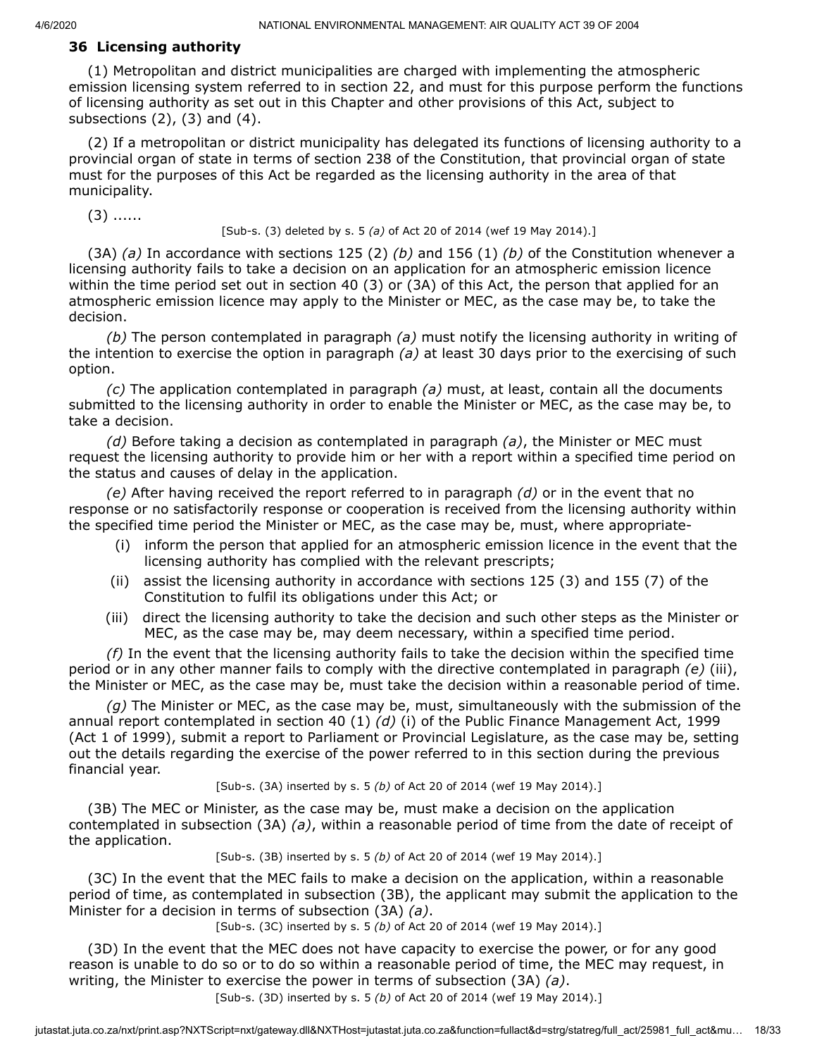#### **36 Licensing authority**

(1) Metropolitan and district municipalities are charged with implementing the atmospheric emission licensing system referred to in section 22, and must for this purpose perform the functions of licensing authority as set out in this Chapter and other provisions of this Act, subject to subsections  $(2)$ ,  $(3)$  and  $(4)$ .

(2) If a metropolitan or district municipality has delegated its functions of licensing authority to a provincial organ of state in terms of section 238 of the Constitution, that provincial organ of state must for the purposes of this Act be regarded as the licensing authority in the area of that municipality.

 $(3)$  ......

#### [Sub-s. (3) deleted by s. 5 *(a)* of Act 20 of 2014 (wef 19 May 2014).]

(3A) *(a)* In accordance with sections 125 (2) *(b)* and 156 (1) *(b)* of the Constitution whenever a licensing authority fails to take a decision on an application for an atmospheric emission licence within the time period set out in section 40 (3) or (3A) of this Act, the person that applied for an atmospheric emission licence may apply to the Minister or MEC, as the case may be, to take the decision.

*(b)* The person contemplated in paragraph *(a)* must notify the licensing authority in writing of the intention to exercise the option in paragraph *(a)* at least 30 days prior to the exercising of such option.

*(c)* The application contemplated in paragraph *(a)* must, at least, contain all the documents submitted to the licensing authority in order to enable the Minister or MEC, as the case may be, to take a decision.

*(d)* Before taking a decision as contemplated in paragraph *(a)*, the Minister or MEC must request the licensing authority to provide him or her with a report within a specified time period on the status and causes of delay in the application.

*(e)* After having received the report referred to in paragraph *(d)* or in the event that no response or no satisfactorily response or cooperation is received from the licensing authority within the specified time period the Minister or MEC, as the case may be, must, where appropriate-

- (i) inform the person that applied for an atmospheric emission licence in the event that the licensing authority has complied with the relevant prescripts;
- (ii) assist the licensing authority in accordance with sections 125 (3) and 155 (7) of the Constitution to fulfil its obligations under this Act; or
- (iii) direct the licensing authority to take the decision and such other steps as the Minister or MEC, as the case may be, may deem necessary, within a specified time period.

*(f)* In the event that the licensing authority fails to take the decision within the specified time period or in any other manner fails to comply with the directive contemplated in paragraph *(e)* (iii), the Minister or MEC, as the case may be, must take the decision within a reasonable period of time.

*(g)* The Minister or MEC, as the case may be, must, simultaneously with the submission of the annual report contemplated in section 40 (1) *(d)* (i) of the Public Finance Management Act, 1999 (Act 1 of 1999), submit a report to Parliament or Provincial Legislature, as the case may be, setting out the details regarding the exercise of the power referred to in this section during the previous financial year.

[Sub-s. (3A) inserted by s. 5 *(b)* of Act 20 of 2014 (wef 19 May 2014).]

(3B) The MEC or Minister, as the case may be, must make a decision on the application contemplated in subsection (3A) *(a)*, within a reasonable period of time from the date of receipt of the application.

[Sub-s. (3B) inserted by s. 5 *(b)* of Act 20 of 2014 (wef 19 May 2014).]

(3C) In the event that the MEC fails to make a decision on the application, within a reasonable period of time, as contemplated in subsection (3B), the applicant may submit the application to the Minister for a decision in terms of subsection (3A) *(a)*.

[Sub-s. (3C) inserted by s. 5 *(b)* of Act 20 of 2014 (wef 19 May 2014).]

(3D) In the event that the MEC does not have capacity to exercise the power, or for any good reason is unable to do so or to do so within a reasonable period of time, the MEC may request, in writing, the Minister to exercise the power in terms of subsection (3A) *(a)*.

[Sub-s. (3D) inserted by s. 5 *(b)* of Act 20 of 2014 (wef 19 May 2014).]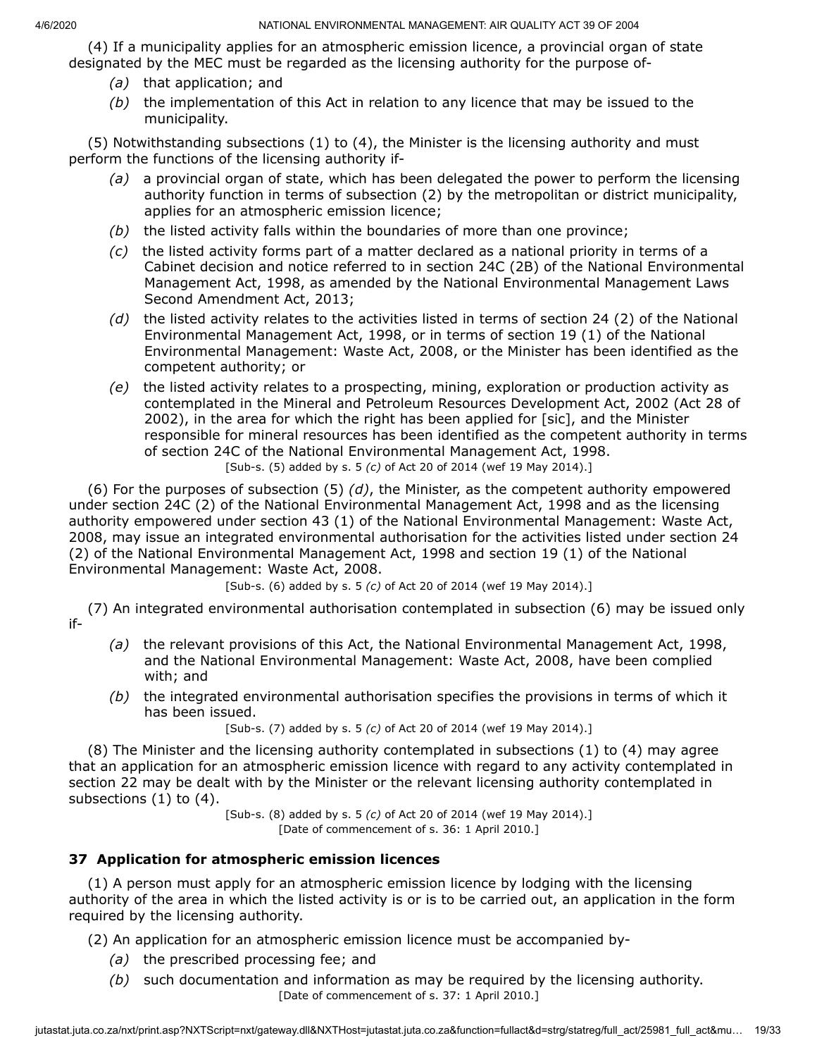(4) If a municipality applies for an atmospheric emission licence, a provincial organ of state designated by the MEC must be regarded as the licensing authority for the purpose of-

- *(a)* that application; and
- *(b)* the implementation of this Act in relation to any licence that may be issued to the municipality.

(5) Notwithstanding subsections (1) to (4), the Minister is the licensing authority and must perform the functions of the licensing authority if-

- *(a)* a provincial organ of state, which has been delegated the power to perform the licensing authority function in terms of subsection (2) by the metropolitan or district municipality, applies for an atmospheric emission licence;
- *(b)* the listed activity falls within the boundaries of more than one province;
- *(c)* the listed activity forms part of a matter declared as a national priority in terms of a Cabinet decision and notice referred to in section 24C (2B) of the National Environmental Management Act, 1998, as amended by the National Environmental Management Laws Second Amendment Act, 2013;
- *(d)* the listed activity relates to the activities listed in terms of section 24 (2) of the National Environmental Management Act, 1998, or in terms of section 19 (1) of the National Environmental Management: Waste Act, 2008, or the Minister has been identified as the competent authority; or
- *(e)* the listed activity relates to a prospecting, mining, exploration or production activity as contemplated in the Mineral and Petroleum Resources Development Act, 2002 (Act 28 of 2002), in the area for which the right has been applied for [sic], and the Minister responsible for mineral resources has been identified as the competent authority in terms of section 24C of the National Environmental Management Act, 1998. [Sub-s. (5) added by s. 5 *(c)* of Act 20 of 2014 (wef 19 May 2014).]

(6) For the purposes of subsection (5) *(d)*, the Minister, as the competent authority empowered under section 24C (2) of the National Environmental Management Act, 1998 and as the licensing authority empowered under section 43 (1) of the National Environmental Management: Waste Act, 2008, may issue an integrated environmental authorisation for the activities listed under section 24 (2) of the National Environmental Management Act, 1998 and section 19 (1) of the National Environmental Management: Waste Act, 2008.

[Sub-s. (6) added by s. 5 *(c)* of Act 20 of 2014 (wef 19 May 2014).]

(7) An integrated environmental authorisation contemplated in subsection (6) may be issued only if-

- *(a)* the relevant provisions of this Act, the National Environmental Management Act, 1998, and the National Environmental Management: Waste Act, 2008, have been complied with; and
- *(b)* the integrated environmental authorisation specifies the provisions in terms of which it has been issued.

[Sub-s. (7) added by s. 5 *(c)* of Act 20 of 2014 (wef 19 May 2014).]

(8) The Minister and the licensing authority contemplated in subsections (1) to (4) may agree that an application for an atmospheric emission licence with regard to any activity contemplated in section 22 may be dealt with by the Minister or the relevant licensing authority contemplated in subsections (1) to (4).

[Sub-s. (8) added by s. 5 *(c)* of Act 20 of 2014 (wef 19 May 2014).] [Date of commencement of s. 36: 1 April 2010.]

# **37 Application for atmospheric emission licences**

(1) A person must apply for an atmospheric emission licence by lodging with the licensing authority of the area in which the listed activity is or is to be carried out, an application in the form required by the licensing authority.

(2) An application for an atmospheric emission licence must be accompanied by-

- *(a)* the prescribed processing fee; and
- *(b)* such documentation and information as may be required by the licensing authority. [Date of commencement of s. 37: 1 April 2010.]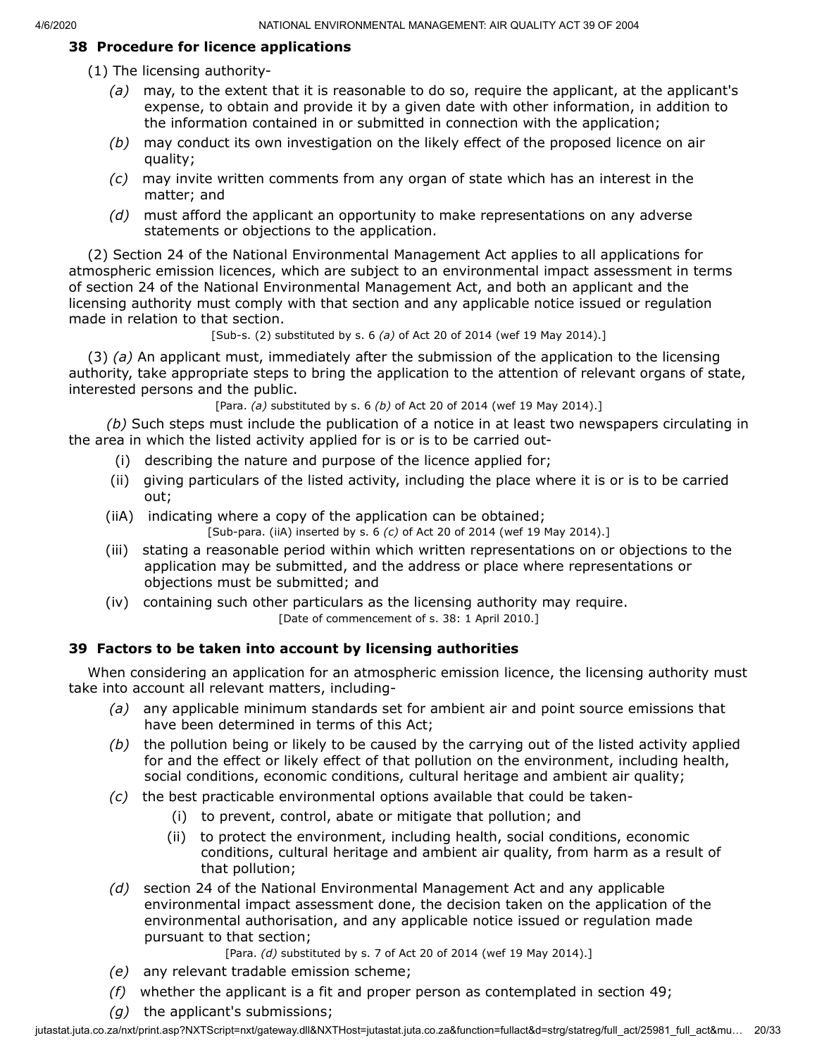#### **38 Procedure for licence applications**

- (1) The licensing authority-
	- *(a)* may, to the extent that it is reasonable to do so, require the applicant, at the applicant's expense, to obtain and provide it by a given date with other information, in addition to the information contained in or submitted in connection with the application;
	- *(b)* may conduct its own investigation on the likely effect of the proposed licence on air quality;
	- *(c)* may invite written comments from any organ of state which has an interest in the matter; and
	- *(d)* must afford the applicant an opportunity to make representations on any adverse statements or objections to the application.

(2) Section 24 of the National Environmental Management Act applies to all applications for atmospheric emission licences, which are subject to an environmental impact assessment in terms of section 24 of the National Environmental Management Act, and both an applicant and the licensing authority must comply with that section and any applicable notice issued or regulation made in relation to that section.

[Sub-s. (2) substituted by s. 6 *(a)* of Act 20 of 2014 (wef 19 May 2014).]

(3) *(a)* An applicant must, immediately after the submission of the application to the licensing authority, take appropriate steps to bring the application to the attention of relevant organs of state, interested persons and the public.

[Para. *(a)* substituted by s. 6 *(b)* of Act 20 of 2014 (wef 19 May 2014).]

*(b)* Such steps must include the publication of a notice in at least two newspapers circulating in the area in which the listed activity applied for is or is to be carried out-

- (i) describing the nature and purpose of the licence applied for;
- (ii) giving particulars of the listed activity, including the place where it is or is to be carried out;
- (iiA) indicating where a copy of the application can be obtained; [Sub-para. (iiA) inserted by s. 6 *(c)* of Act 20 of 2014 (wef 19 May 2014).]
- (iii) stating a reasonable period within which written representations on or objections to the application may be submitted, and the address or place where representations or objections must be submitted; and
- (iv) containing such other particulars as the licensing authority may require. [Date of commencement of s. 38: 1 April 2010.]

#### **39 Factors to be taken into account by licensing authorities**

When considering an application for an atmospheric emission licence, the licensing authority must take into account all relevant matters, including-

- *(a)* any applicable minimum standards set for ambient air and point source emissions that have been determined in terms of this Act;
- *(b)* the pollution being or likely to be caused by the carrying out of the listed activity applied for and the effect or likely effect of that pollution on the environment, including health, social conditions, economic conditions, cultural heritage and ambient air quality;
- *(c)* the best practicable environmental options available that could be taken-
	- (i) to prevent, control, abate or mitigate that pollution; and
	- (ii) to protect the environment, including health, social conditions, economic conditions, cultural heritage and ambient air quality, from harm as a result of that pollution;
- *(d)* section 24 of the National Environmental Management Act and any applicable environmental impact assessment done, the decision taken on the application of the environmental authorisation, and any applicable notice issued or regulation made pursuant to that section;

[Para. *(d)* substituted by s. 7 of Act 20 of 2014 (wef 19 May 2014).]

- *(e)* any relevant tradable emission scheme;
- *(f)* whether the applicant is a fit and proper person as contemplated in section 49;
- *(g)* the applicant's submissions;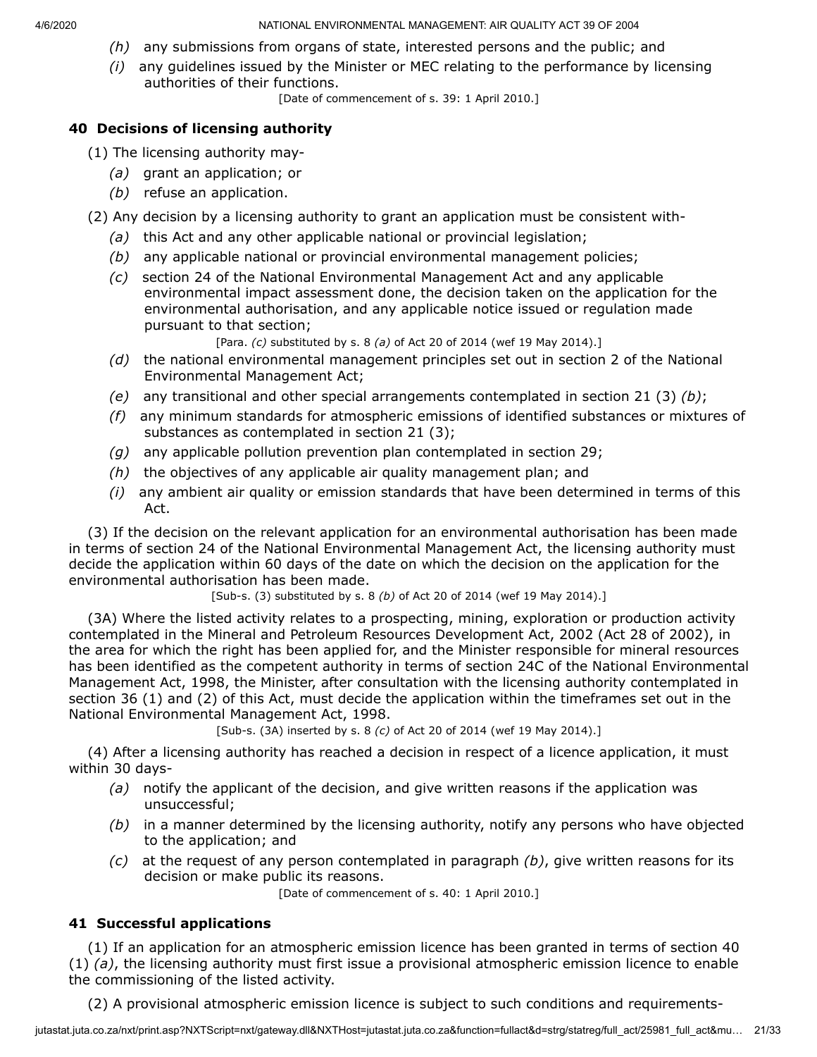- *(h)* any submissions from organs of state, interested persons and the public; and
- *(i)* any guidelines issued by the Minister or MEC relating to the performance by licensing authorities of their functions.

[Date of commencement of s. 39: 1 April 2010.]

# **40 Decisions of licensing authority**

(1) The licensing authority may-

- *(a)* grant an application; or
- *(b)* refuse an application.
- (2) Any decision by a licensing authority to grant an application must be consistent with-
	- *(a)* this Act and any other applicable national or provincial legislation;
	- *(b)* any applicable national or provincial environmental management policies;
	- *(c)* section 24 of the National Environmental Management Act and any applicable environmental impact assessment done, the decision taken on the application for the environmental authorisation, and any applicable notice issued or regulation made pursuant to that section;
		- [Para. *(c)* substituted by s. 8 *(a)* of Act 20 of 2014 (wef 19 May 2014).]
	- *(d)* the national environmental management principles set out in section 2 of the National Environmental Management Act;
	- *(e)* any transitional and other special arrangements contemplated in section 21 (3) *(b)*;
	- *(f)* any minimum standards for atmospheric emissions of identified substances or mixtures of substances as contemplated in section 21 (3);
	- *(g)* any applicable pollution prevention plan contemplated in section 29;
	- *(h)* the objectives of any applicable air quality management plan; and
	- *(i)* any ambient air quality or emission standards that have been determined in terms of this Act.

(3) If the decision on the relevant application for an environmental authorisation has been made in terms of section 24 of the National Environmental Management Act, the licensing authority must decide the application within 60 days of the date on which the decision on the application for the environmental authorisation has been made.

[Sub-s. (3) substituted by s. 8 *(b)* of Act 20 of 2014 (wef 19 May 2014).]

(3A) Where the listed activity relates to a prospecting, mining, exploration or production activity contemplated in the Mineral and Petroleum Resources Development Act, 2002 (Act 28 of 2002), in the area for which the right has been applied for, and the Minister responsible for mineral resources has been identified as the competent authority in terms of section 24C of the National Environmental Management Act, 1998, the Minister, after consultation with the licensing authority contemplated in section 36 (1) and (2) of this Act, must decide the application within the timeframes set out in the National Environmental Management Act, 1998.

[Sub-s. (3A) inserted by s. 8 *(c)* of Act 20 of 2014 (wef 19 May 2014).]

(4) After a licensing authority has reached a decision in respect of a licence application, it must within 30 days-

- *(a)* notify the applicant of the decision, and give written reasons if the application was unsuccessful;
- *(b)* in a manner determined by the licensing authority, notify any persons who have objected to the application; and
- *(c)* at the request of any person contemplated in paragraph *(b)*, give written reasons for its decision or make public its reasons.

[Date of commencement of s. 40: 1 April 2010.]

# **41 Successful applications**

(1) If an application for an atmospheric emission licence has been granted in terms of section 40 (1) *(a)*, the licensing authority must first issue a provisional atmospheric emission licence to enable the commissioning of the listed activity.

(2) A provisional atmospheric emission licence is subject to such conditions and requirements-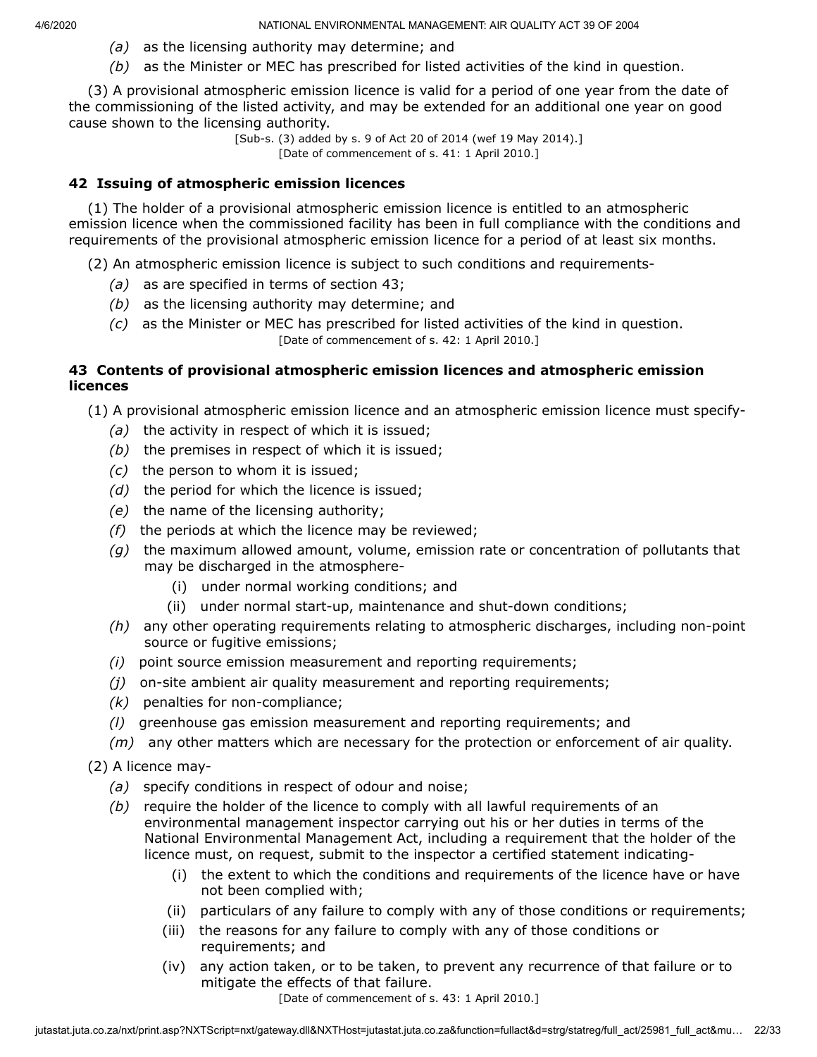- *(a)* as the licensing authority may determine; and
- *(b)* as the Minister or MEC has prescribed for listed activities of the kind in question.

(3) A provisional atmospheric emission licence is valid for a period of one year from the date of the commissioning of the listed activity, and may be extended for an additional one year on good cause shown to the licensing authority.

[Sub-s. (3) added by s. 9 of Act 20 of 2014 (wef 19 May 2014).] [Date of commencement of s. 41: 1 April 2010.]

#### **42 Issuing of atmospheric emission licences**

(1) The holder of a provisional atmospheric emission licence is entitled to an atmospheric emission licence when the commissioned facility has been in full compliance with the conditions and requirements of the provisional atmospheric emission licence for a period of at least six months.

(2) An atmospheric emission licence is subject to such conditions and requirements-

- *(a)* as are specified in terms of section 43;
- *(b)* as the licensing authority may determine; and
- *(c)* as the Minister or MEC has prescribed for listed activities of the kind in question. [Date of commencement of s. 42: 1 April 2010.]

## **43 Contents of provisional atmospheric emission licences and atmospheric emission licences**

(1) A provisional atmospheric emission licence and an atmospheric emission licence must specify-

- *(a)* the activity in respect of which it is issued;
- *(b)* the premises in respect of which it is issued;
- *(c)* the person to whom it is issued;
- *(d)* the period for which the licence is issued;
- *(e)* the name of the licensing authority;
- *(f)* the periods at which the licence may be reviewed;
- *(g)* the maximum allowed amount, volume, emission rate or concentration of pollutants that may be discharged in the atmosphere-
	- (i) under normal working conditions; and
	- (ii) under normal start-up, maintenance and shut-down conditions;
- *(h)* any other operating requirements relating to atmospheric discharges, including non-point source or fugitive emissions;
- *(i)* point source emission measurement and reporting requirements;
- *(j)* on-site ambient air quality measurement and reporting requirements;
- *(k)* penalties for non-compliance;
- *(l)* greenhouse gas emission measurement and reporting requirements; and
- *(m)* any other matters which are necessary for the protection or enforcement of air quality.
- (2) A licence may-
	- *(a)* specify conditions in respect of odour and noise;
	- *(b)* require the holder of the licence to comply with all lawful requirements of an environmental management inspector carrying out his or her duties in terms of the National Environmental Management Act, including a requirement that the holder of the licence must, on request, submit to the inspector a certified statement indicating-
		- (i) the extent to which the conditions and requirements of the licence have or have not been complied with;
		- (ii) particulars of any failure to comply with any of those conditions or requirements;
		- (iii) the reasons for any failure to comply with any of those conditions or requirements; and
		- (iv) any action taken, or to be taken, to prevent any recurrence of that failure or to mitigate the effects of that failure.

[Date of commencement of s. 43: 1 April 2010.]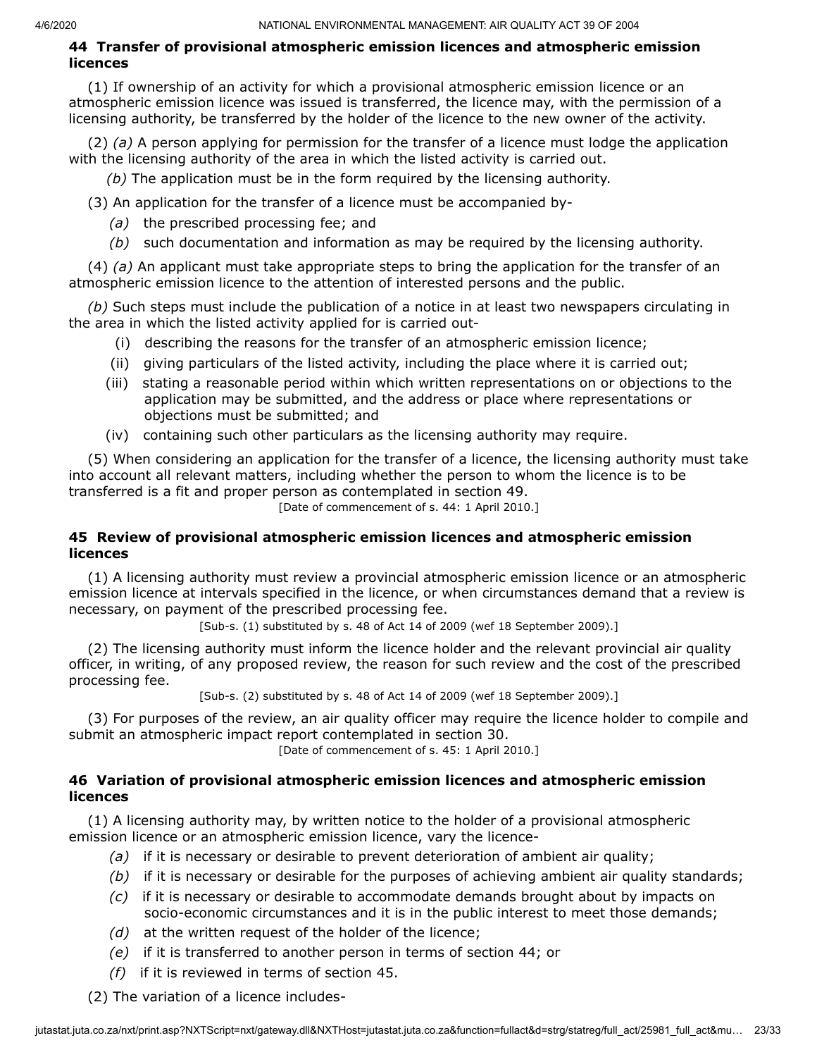#### **44 Transfer of provisional atmospheric emission licences and atmospheric emission licences**

(1) If ownership of an activity for which a provisional atmospheric emission licence or an atmospheric emission licence was issued is transferred, the licence may, with the permission of a licensing authority, be transferred by the holder of the licence to the new owner of the activity.

(2) *(a)* A person applying for permission for the transfer of a licence must lodge the application with the licensing authority of the area in which the listed activity is carried out.

*(b)* The application must be in the form required by the licensing authority.

(3) An application for the transfer of a licence must be accompanied by-

- *(a)* the prescribed processing fee; and
- *(b)* such documentation and information as may be required by the licensing authority.

(4) *(a)* An applicant must take appropriate steps to bring the application for the transfer of an atmospheric emission licence to the attention of interested persons and the public.

*(b)* Such steps must include the publication of a notice in at least two newspapers circulating in the area in which the listed activity applied for is carried out-

- (i) describing the reasons for the transfer of an atmospheric emission licence;
- (ii) giving particulars of the listed activity, including the place where it is carried out;
- (iii) stating a reasonable period within which written representations on or objections to the application may be submitted, and the address or place where representations or objections must be submitted; and
- (iv) containing such other particulars as the licensing authority may require.

(5) When considering an application for the transfer of a licence, the licensing authority must take into account all relevant matters, including whether the person to whom the licence is to be transferred is a fit and proper person as contemplated in section 49.

[Date of commencement of s. 44: 1 April 2010.]

#### **45 Review of provisional atmospheric emission licences and atmospheric emission licences**

(1) A licensing authority must review a provincial atmospheric emission licence or an atmospheric emission licence at intervals specified in the licence, or when circumstances demand that a review is necessary, on payment of the prescribed processing fee.

[Sub-s. (1) substituted by s. 48 of Act 14 of 2009 (wef 18 September 2009).]

(2) The licensing authority must inform the licence holder and the relevant provincial air quality officer, in writing, of any proposed review, the reason for such review and the cost of the prescribed processing fee.

[Sub-s. (2) substituted by s. 48 of Act 14 of 2009 (wef 18 September 2009).]

(3) For purposes of the review, an air quality officer may require the licence holder to compile and submit an atmospheric impact report contemplated in section 30.

[Date of commencement of s. 45: 1 April 2010.]

## **46 Variation of provisional atmospheric emission licences and atmospheric emission licences**

(1) A licensing authority may, by written notice to the holder of a provisional atmospheric emission licence or an atmospheric emission licence, vary the licence-

- *(a)* if it is necessary or desirable to prevent deterioration of ambient air quality;
- *(b)* if it is necessary or desirable for the purposes of achieving ambient air quality standards;
- *(c)* if it is necessary or desirable to accommodate demands brought about by impacts on socio-economic circumstances and it is in the public interest to meet those demands;
- *(d)* at the written request of the holder of the licence;
- *(e)* if it is transferred to another person in terms of section 44; or
- *(f)* if it is reviewed in terms of section 45.
- (2) The variation of a licence includes-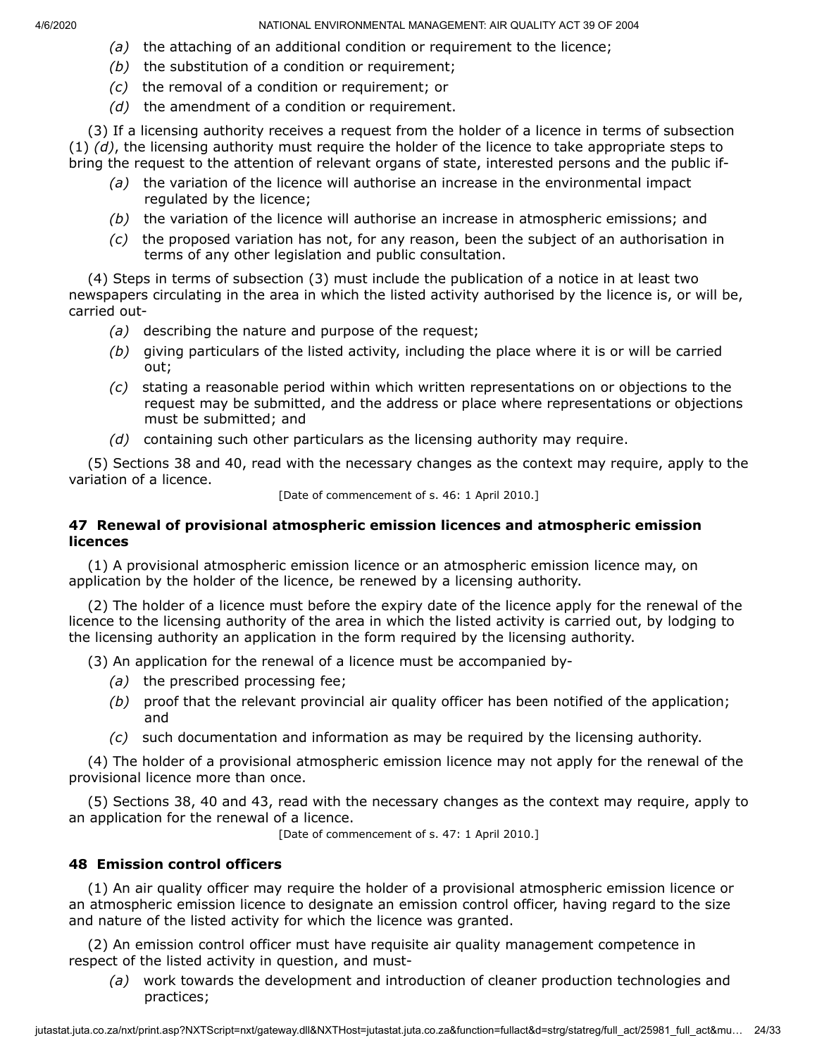- *(a)* the attaching of an additional condition or requirement to the licence;
- *(b)* the substitution of a condition or requirement;
- *(c)* the removal of a condition or requirement; or
- *(d)* the amendment of a condition or requirement.

(3) If a licensing authority receives a request from the holder of a licence in terms of subsection (1) *(d)*, the licensing authority must require the holder of the licence to take appropriate steps to bring the request to the attention of relevant organs of state, interested persons and the public if-

- *(a)* the variation of the licence will authorise an increase in the environmental impact regulated by the licence;
- *(b)* the variation of the licence will authorise an increase in atmospheric emissions; and
- *(c)* the proposed variation has not, for any reason, been the subject of an authorisation in terms of any other legislation and public consultation.

(4) Steps in terms of subsection (3) must include the publication of a notice in at least two newspapers circulating in the area in which the listed activity authorised by the licence is, or will be, carried out-

- *(a)* describing the nature and purpose of the request;
- *(b)* giving particulars of the listed activity, including the place where it is or will be carried out;
- *(c)* stating a reasonable period within which written representations on or objections to the request may be submitted, and the address or place where representations or objections must be submitted; and
- *(d)* containing such other particulars as the licensing authority may require.

(5) Sections 38 and 40, read with the necessary changes as the context may require, apply to the variation of a licence.

[Date of commencement of s. 46: 1 April 2010.]

#### **47 Renewal of provisional atmospheric emission licences and atmospheric emission licences**

(1) A provisional atmospheric emission licence or an atmospheric emission licence may, on application by the holder of the licence, be renewed by a licensing authority.

(2) The holder of a licence must before the expiry date of the licence apply for the renewal of the licence to the licensing authority of the area in which the listed activity is carried out, by lodging to the licensing authority an application in the form required by the licensing authority.

(3) An application for the renewal of a licence must be accompanied by-

- *(a)* the prescribed processing fee;
- *(b)* proof that the relevant provincial air quality officer has been notified of the application; and
- *(c)* such documentation and information as may be required by the licensing authority.

(4) The holder of a provisional atmospheric emission licence may not apply for the renewal of the provisional licence more than once.

(5) Sections 38, 40 and 43, read with the necessary changes as the context may require, apply to an application for the renewal of a licence.

[Date of commencement of s. 47: 1 April 2010.]

#### **48 Emission control officers**

(1) An air quality officer may require the holder of a provisional atmospheric emission licence or an atmospheric emission licence to designate an emission control officer, having regard to the size and nature of the listed activity for which the licence was granted.

(2) An emission control officer must have requisite air quality management competence in respect of the listed activity in question, and must-

*(a)* work towards the development and introduction of cleaner production technologies and practices;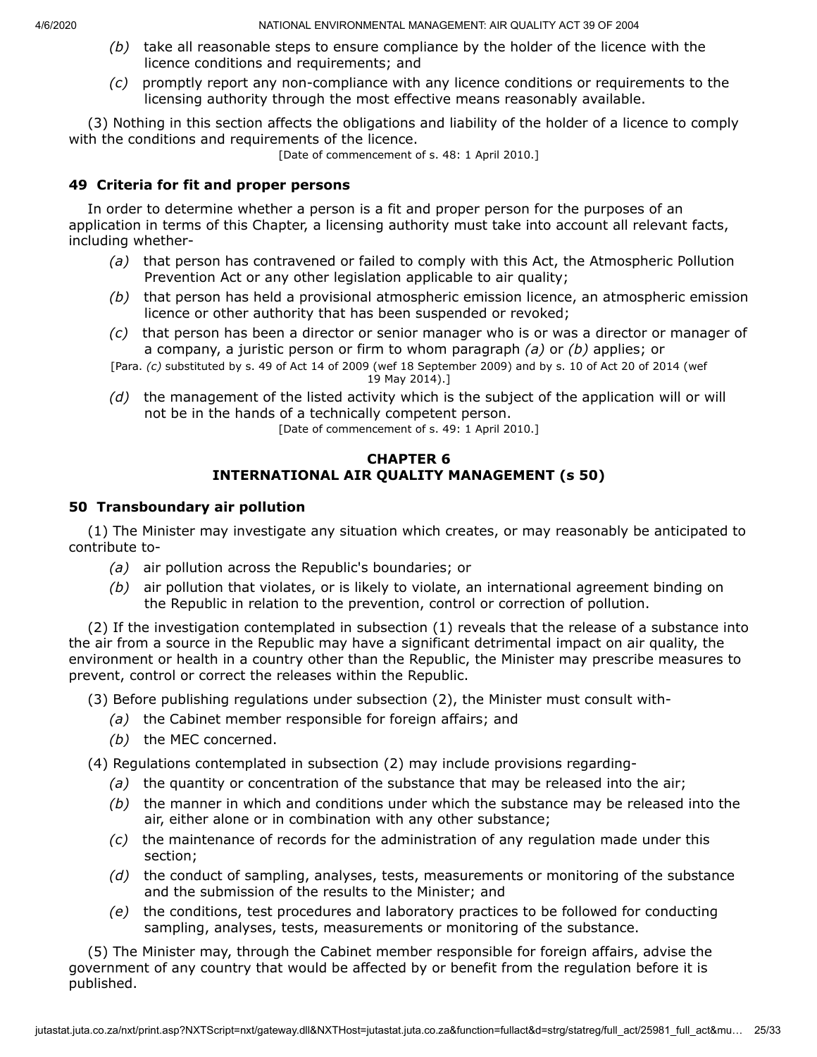- *(b)* take all reasonable steps to ensure compliance by the holder of the licence with the licence conditions and requirements; and
- *(c)* promptly report any non-compliance with any licence conditions or requirements to the licensing authority through the most effective means reasonably available.

(3) Nothing in this section affects the obligations and liability of the holder of a licence to comply with the conditions and requirements of the licence.

[Date of commencement of s. 48: 1 April 2010.]

#### **49 Criteria for fit and proper persons**

In order to determine whether a person is a fit and proper person for the purposes of an application in terms of this Chapter, a licensing authority must take into account all relevant facts, including whether-

- *(a)* that person has contravened or failed to comply with this Act, the Atmospheric Pollution Prevention Act or any other legislation applicable to air quality;
- *(b)* that person has held a provisional atmospheric emission licence, an atmospheric emission licence or other authority that has been suspended or revoked;
- *(c)* that person has been a director or senior manager who is or was a director or manager of a company, a juristic person or firm to whom paragraph *(a)* or *(b)* applies; or
- [Para. *(c)* substituted by s. 49 of Act 14 of 2009 (wef 18 September 2009) and by s. 10 of Act 20 of 2014 (wef 19 May 2014).]
- *(d)* the management of the listed activity which is the subject of the application will or will not be in the hands of a technically competent person. [Date of commencement of s. 49: 1 April 2010.]

# **CHAPTER 6**

# **INTERNATIONAL AIR QUALITY MANAGEMENT (s 50)**

## **50 Transboundary air pollution**

(1) The Minister may investigate any situation which creates, or may reasonably be anticipated to contribute to-

- *(a)* air pollution across the Republic's boundaries; or
- *(b)* air pollution that violates, or is likely to violate, an international agreement binding on the Republic in relation to the prevention, control or correction of pollution.

(2) If the investigation contemplated in subsection (1) reveals that the release of a substance into the air from a source in the Republic may have a significant detrimental impact on air quality, the environment or health in a country other than the Republic, the Minister may prescribe measures to prevent, control or correct the releases within the Republic.

(3) Before publishing regulations under subsection (2), the Minister must consult with-

- *(a)* the Cabinet member responsible for foreign affairs; and
- *(b)* the MEC concerned.

(4) Regulations contemplated in subsection (2) may include provisions regarding-

- *(a)* the quantity or concentration of the substance that may be released into the air;
- *(b)* the manner in which and conditions under which the substance may be released into the air, either alone or in combination with any other substance;
- *(c)* the maintenance of records for the administration of any regulation made under this section;
- *(d)* the conduct of sampling, analyses, tests, measurements or monitoring of the substance and the submission of the results to the Minister; and
- *(e)* the conditions, test procedures and laboratory practices to be followed for conducting sampling, analyses, tests, measurements or monitoring of the substance.

(5) The Minister may, through the Cabinet member responsible for foreign affairs, advise the government of any country that would be affected by or benefit from the regulation before it is published.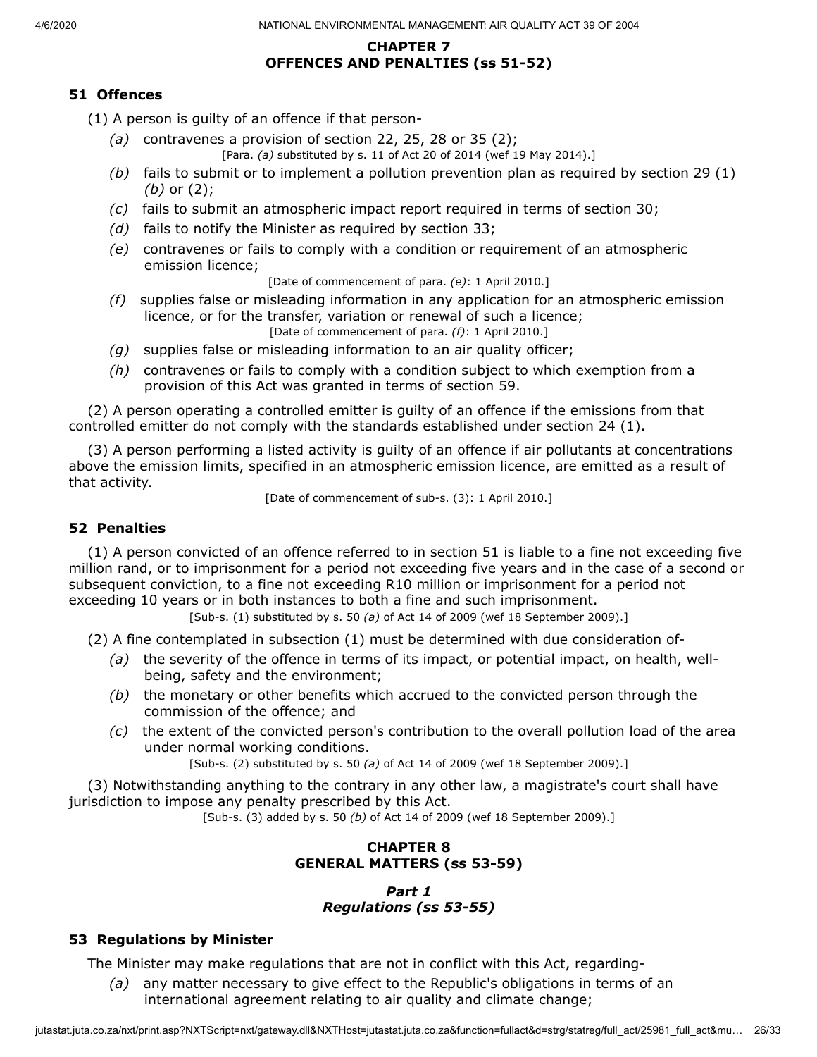# **CHAPTER 7 OFFENCES AND PENALTIES (ss 51-52)**

# **51 Offences**

(1) A person is guilty of an offence if that person-

- *(a)* contravenes a provision of section 22, 25, 28 or 35 (2); [Para. *(a)* substituted by s. 11 of Act 20 of 2014 (wef 19 May 2014).]
- *(b)* fails to submit or to implement a pollution prevention plan as required by section 29 (1) *(b)* or (2);
- *(c)* fails to submit an atmospheric impact report required in terms of section 30;
- *(d)* fails to notify the Minister as required by section 33;
- *(e)* contravenes or fails to comply with a condition or requirement of an atmospheric emission licence;

[Date of commencement of para. *(e)*: 1 April 2010.]

- *(f)* supplies false or misleading information in any application for an atmospheric emission licence, or for the transfer, variation or renewal of such a licence; [Date of commencement of para. *(f)*: 1 April 2010.]
- *(g)* supplies false or misleading information to an air quality officer;
- *(h)* contravenes or fails to comply with a condition subject to which exemption from a provision of this Act was granted in terms of section 59.

(2) A person operating a controlled emitter is guilty of an offence if the emissions from that controlled emitter do not comply with the standards established under section 24 (1).

(3) A person performing a listed activity is guilty of an offence if air pollutants at concentrations above the emission limits, specified in an atmospheric emission licence, are emitted as a result of that activity.

[Date of commencement of sub-s. (3): 1 April 2010.]

#### **52 Penalties**

(1) A person convicted of an offence referred to in section 51 is liable to a fine not exceeding five million rand, or to imprisonment for a period not exceeding five years and in the case of a second or subsequent conviction, to a fine not exceeding R10 million or imprisonment for a period not exceeding 10 years or in both instances to both a fine and such imprisonment.

[Sub-s. (1) substituted by s. 50 *(a)* of Act 14 of 2009 (wef 18 September 2009).]

(2) A fine contemplated in subsection (1) must be determined with due consideration of-

- *(a)* the severity of the offence in terms of its impact, or potential impact, on health, wellbeing, safety and the environment;
- *(b)* the monetary or other benefits which accrued to the convicted person through the commission of the offence; and
- *(c)* the extent of the convicted person's contribution to the overall pollution load of the area under normal working conditions.

[Sub-s. (2) substituted by s. 50 *(a)* of Act 14 of 2009 (wef 18 September 2009).]

(3) Notwithstanding anything to the contrary in any other law, a magistrate's court shall have jurisdiction to impose any penalty prescribed by this Act.

[Sub-s. (3) added by s. 50 *(b)* of Act 14 of 2009 (wef 18 September 2009).]

# **CHAPTER 8 GENERAL MATTERS (ss 53-59)**

## *Part 1 Regulations (ss 53-55)*

# **53 Regulations by Minister**

The Minister may make regulations that are not in conflict with this Act, regarding-

*(a)* any matter necessary to give effect to the Republic's obligations in terms of an international agreement relating to air quality and climate change;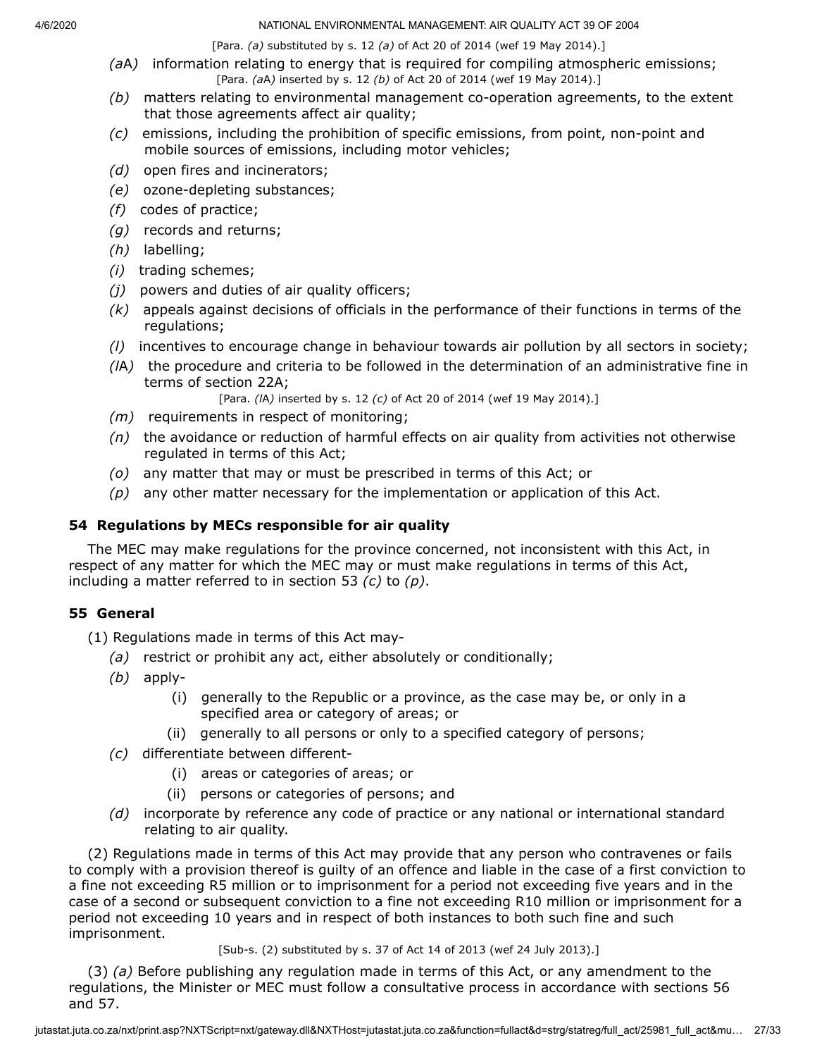[Para. *(a)* substituted by s. 12 *(a)* of Act 20 of 2014 (wef 19 May 2014).]

- *(a*A*)* information relating to energy that is required for compiling atmospheric emissions; [Para. *(a*A*)* inserted by s. 12 *(b)* of Act 20 of 2014 (wef 19 May 2014).]
- *(b)* matters relating to environmental management co-operation agreements, to the extent that those agreements affect air quality;
- *(c)* emissions, including the prohibition of specific emissions, from point, non-point and mobile sources of emissions, including motor vehicles;
- *(d)* open fires and incinerators;
- *(e)* ozone-depleting substances;
- *(f)* codes of practice;
- *(g)* records and returns;
- *(h)* labelling;
- *(i)* trading schemes;
- *(j)* powers and duties of air quality officers;
- *(k)* appeals against decisions of officials in the performance of their functions in terms of the regulations;
- *(l)* incentives to encourage change in behaviour towards air pollution by all sectors in society;
- *(l*A*)* the procedure and criteria to be followed in the determination of an administrative fine in terms of section 22A;

[Para. *(l*A*)* inserted by s. 12 *(c)* of Act 20 of 2014 (wef 19 May 2014).]

- *(m)* requirements in respect of monitoring;
- *(n)* the avoidance or reduction of harmful effects on air quality from activities not otherwise regulated in terms of this Act;
- *(o)* any matter that may or must be prescribed in terms of this Act; or
- *(p)* any other matter necessary for the implementation or application of this Act.

# **54 Regulations by MECs responsible for air quality**

The MEC may make regulations for the province concerned, not inconsistent with this Act, in respect of any matter for which the MEC may or must make regulations in terms of this Act, including a matter referred to in section 53 *(c)* to *(p)*.

# **55 General**

(1) Regulations made in terms of this Act may-

- *(a)* restrict or prohibit any act, either absolutely or conditionally;
- *(b)* apply-
	- (i) generally to the Republic or a province, as the case may be, or only in a specified area or category of areas; or
	- (ii) generally to all persons or only to a specified category of persons;
- *(c)* differentiate between different-
	- (i) areas or categories of areas; or
	- (ii) persons or categories of persons; and
- *(d)* incorporate by reference any code of practice or any national or international standard relating to air quality.

(2) Regulations made in terms of this Act may provide that any person who contravenes or fails to comply with a provision thereof is guilty of an offence and liable in the case of a first conviction to a fine not exceeding R5 million or to imprisonment for a period not exceeding five years and in the case of a second or subsequent conviction to a fine not exceeding R10 million or imprisonment for a period not exceeding 10 years and in respect of both instances to both such fine and such imprisonment.

[Sub-s. (2) substituted by s. 37 of Act 14 of 2013 (wef 24 July 2013).]

(3) *(a)* Before publishing any regulation made in terms of this Act, or any amendment to the regulations, the Minister or MEC must follow a consultative process in accordance with sections 56 and 57.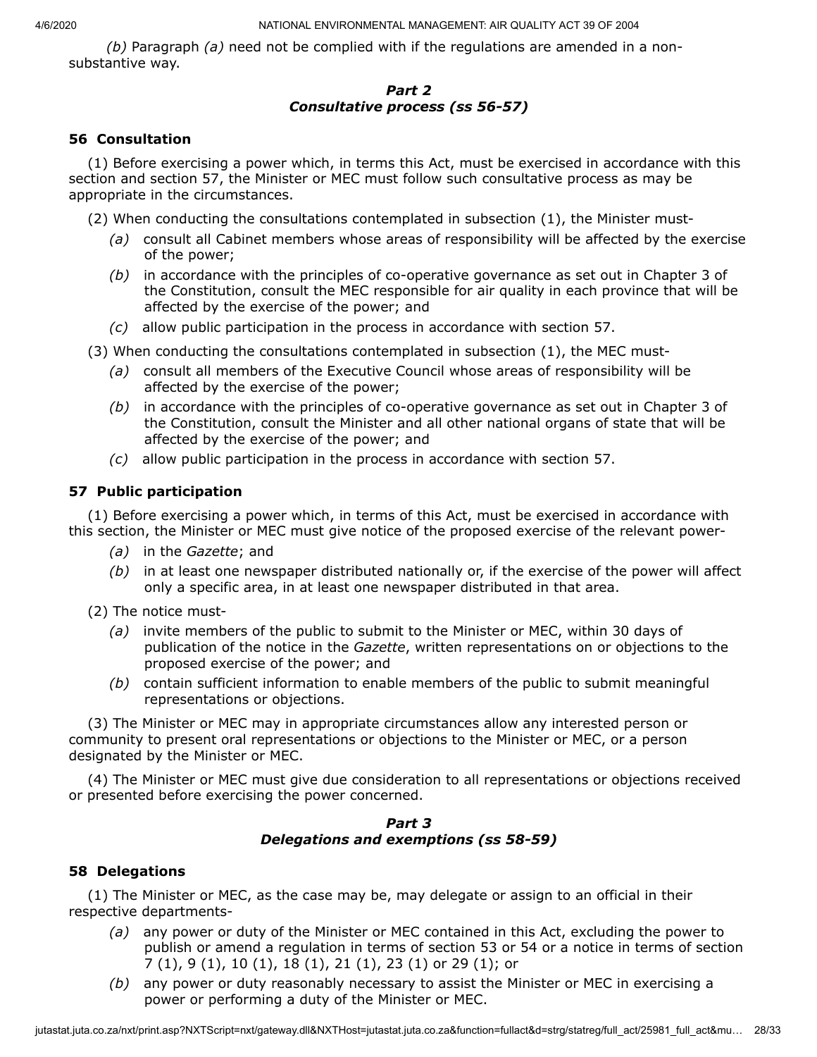*(b)* Paragraph *(a)* need not be complied with if the regulations are amended in a nonsubstantive way.

#### *Part 2 Consultative process (ss 56-57)*

#### **56 Consultation**

(1) Before exercising a power which, in terms this Act, must be exercised in accordance with this section and section 57, the Minister or MEC must follow such consultative process as may be appropriate in the circumstances.

(2) When conducting the consultations contemplated in subsection (1), the Minister must-

- *(a)* consult all Cabinet members whose areas of responsibility will be affected by the exercise of the power;
- *(b)* in accordance with the principles of co-operative governance as set out in Chapter 3 of the Constitution, consult the MEC responsible for air quality in each province that will be affected by the exercise of the power; and
- *(c)* allow public participation in the process in accordance with section 57.
- (3) When conducting the consultations contemplated in subsection (1), the MEC must-
	- *(a)* consult all members of the Executive Council whose areas of responsibility will be affected by the exercise of the power;
	- *(b)* in accordance with the principles of co-operative governance as set out in Chapter 3 of the Constitution, consult the Minister and all other national organs of state that will be affected by the exercise of the power; and
	- *(c)* allow public participation in the process in accordance with section 57.

# **57 Public participation**

(1) Before exercising a power which, in terms of this Act, must be exercised in accordance with this section, the Minister or MEC must give notice of the proposed exercise of the relevant power-

- *(a)* in the *Gazette*; and
- *(b)* in at least one newspaper distributed nationally or, if the exercise of the power will affect only a specific area, in at least one newspaper distributed in that area.

(2) The notice must-

- *(a)* invite members of the public to submit to the Minister or MEC, within 30 days of publication of the notice in the *Gazette*, written representations on or objections to the proposed exercise of the power; and
- *(b)* contain sufficient information to enable members of the public to submit meaningful representations or objections.

(3) The Minister or MEC may in appropriate circumstances allow any interested person or community to present oral representations or objections to the Minister or MEC, or a person designated by the Minister or MEC.

(4) The Minister or MEC must give due consideration to all representations or objections received or presented before exercising the power concerned.

#### *Part 3 Delegations and exemptions (ss 58-59)*

#### **58 Delegations**

(1) The Minister or MEC, as the case may be, may delegate or assign to an official in their respective departments-

- *(a)* any power or duty of the Minister or MEC contained in this Act, excluding the power to publish or amend a regulation in terms of section 53 or 54 or a notice in terms of section 7 (1), 9 (1), 10 (1), 18 (1), 21 (1), 23 (1) or 29 (1); or
- *(b)* any power or duty reasonably necessary to assist the Minister or MEC in exercising a power or performing a duty of the Minister or MEC.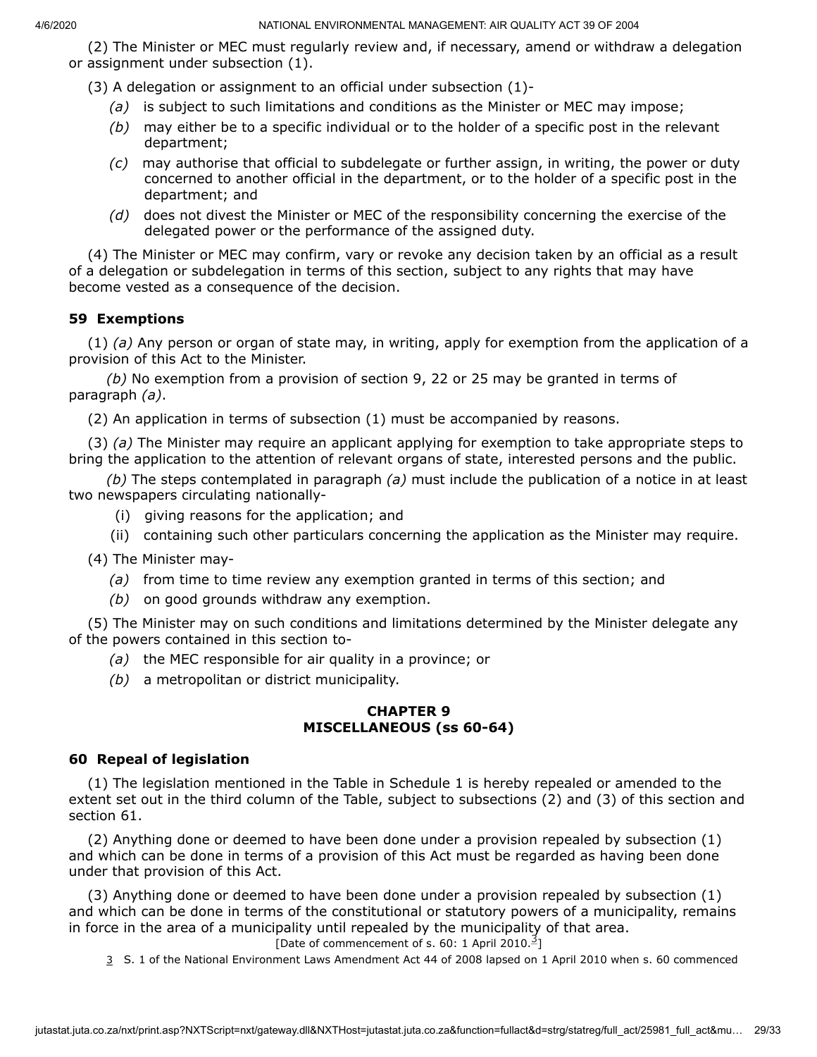(2) The Minister or MEC must regularly review and, if necessary, amend or withdraw a delegation or assignment under subsection (1).

(3) A delegation or assignment to an official under subsection (1)-

- *(a)* is subject to such limitations and conditions as the Minister or MEC may impose;
- *(b)* may either be to a specific individual or to the holder of a specific post in the relevant department;
- *(c)* may authorise that official to subdelegate or further assign, in writing, the power or duty concerned to another official in the department, or to the holder of a specific post in the department; and
- *(d)* does not divest the Minister or MEC of the responsibility concerning the exercise of the delegated power or the performance of the assigned duty.

(4) The Minister or MEC may confirm, vary or revoke any decision taken by an official as a result of a delegation or subdelegation in terms of this section, subject to any rights that may have become vested as a consequence of the decision.

# **59 Exemptions**

(1) *(a)* Any person or organ of state may, in writing, apply for exemption from the application of a provision of this Act to the Minister.

*(b)* No exemption from a provision of section 9, 22 or 25 may be granted in terms of paragraph *(a)*.

(2) An application in terms of subsection (1) must be accompanied by reasons.

(3) *(a)* The Minister may require an applicant applying for exemption to take appropriate steps to bring the application to the attention of relevant organs of state, interested persons and the public.

*(b)* The steps contemplated in paragraph *(a)* must include the publication of a notice in at least two newspapers circulating nationally-

- (i) giving reasons for the application; and
- (ii) containing such other particulars concerning the application as the Minister may require.

(4) The Minister may-

- *(a)* from time to time review any exemption granted in terms of this section; and
- *(b)* on good grounds withdraw any exemption.

(5) The Minister may on such conditions and limitations determined by the Minister delegate any of the powers contained in this section to-

- *(a)* the MEC responsible for air quality in a province; or
- *(b)* a metropolitan or district municipality.

## **CHAPTER 9 MISCELLANEOUS (ss 60-64)**

# **60 Repeal of legislation**

(1) The legislation mentioned in the Table in Schedule 1 is hereby repealed or amended to the extent set out in the third column of the Table, subject to subsections (2) and (3) of this section and section 61.

(2) Anything done or deemed to have been done under a provision repealed by subsection (1) and which can be done in terms of a provision of this Act must be regarded as having been done under that provision of this Act.

(3) Anything done or deemed to have been done under a provision repealed by subsection (1) and which can be done in terms of the constitutional or statutory powers of a municipality, remains in force in the area of a municipality until repealed by the municipality of that area. [Date of commencement of s. 60: 1 April 2010.<sup>[3](#page-28-0)</sup>]

<span id="page-28-0"></span>3 S. 1 of the National Environment Laws Amendment Act 44 of 2008 lapsed on 1 April 2010 when s. 60 commenced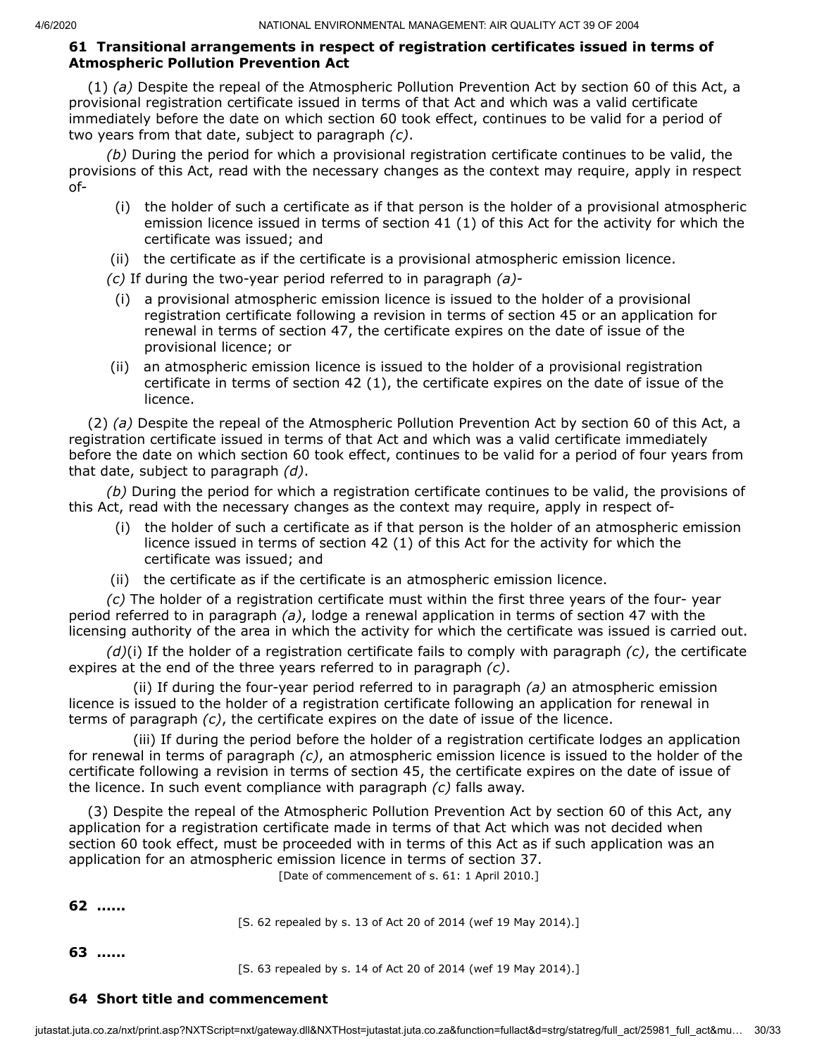#### **61 Transitional arrangements in respect of registration certificates issued in terms of Atmospheric Pollution Prevention Act**

(1) *(a)* Despite the repeal of the Atmospheric Pollution Prevention Act by section 60 of this Act, a provisional registration certificate issued in terms of that Act and which was a valid certificate immediately before the date on which section 60 took effect, continues to be valid for a period of two years from that date, subject to paragraph *(c)*.

*(b)* During the period for which a provisional registration certificate continues to be valid, the provisions of this Act, read with the necessary changes as the context may require, apply in respect of-

- (i) the holder of such a certificate as if that person is the holder of a provisional atmospheric emission licence issued in terms of section 41 (1) of this Act for the activity for which the certificate was issued; and
- (ii) the certificate as if the certificate is a provisional atmospheric emission licence.
- *(c)* If during the two-year period referred to in paragraph *(a)*-
- (i) a provisional atmospheric emission licence is issued to the holder of a provisional registration certificate following a revision in terms of section 45 or an application for renewal in terms of section 47, the certificate expires on the date of issue of the provisional licence; or
- (ii) an atmospheric emission licence is issued to the holder of a provisional registration certificate in terms of section 42 (1), the certificate expires on the date of issue of the licence.

(2) *(a)* Despite the repeal of the Atmospheric Pollution Prevention Act by section 60 of this Act, a registration certificate issued in terms of that Act and which was a valid certificate immediately before the date on which section 60 took effect, continues to be valid for a period of four years from that date, subject to paragraph *(d)*.

*(b)* During the period for which a registration certificate continues to be valid, the provisions of this Act, read with the necessary changes as the context may require, apply in respect of-

- (i) the holder of such a certificate as if that person is the holder of an atmospheric emission licence issued in terms of section 42 (1) of this Act for the activity for which the certificate was issued; and
- (ii) the certificate as if the certificate is an atmospheric emission licence.

*(c)* The holder of a registration certificate must within the first three years of the four- year period referred to in paragraph *(a)*, lodge a renewal application in terms of section 47 with the licensing authority of the area in which the activity for which the certificate was issued is carried out.

*(d)*(i) If the holder of a registration certificate fails to comply with paragraph *(c)*, the certificate expires at the end of the three years referred to in paragraph *(c)*.

(ii) If during the four-year period referred to in paragraph *(a)* an atmospheric emission licence is issued to the holder of a registration certificate following an application for renewal in terms of paragraph *(c)*, the certificate expires on the date of issue of the licence.

(iii) If during the period before the holder of a registration certificate lodges an application for renewal in terms of paragraph *(c)*, an atmospheric emission licence is issued to the holder of the certificate following a revision in terms of section 45, the certificate expires on the date of issue of the licence. In such event compliance with paragraph *(c)* falls away.

(3) Despite the repeal of the Atmospheric Pollution Prevention Act by section 60 of this Act, any application for a registration certificate made in terms of that Act which was not decided when section 60 took effect, must be proceeded with in terms of this Act as if such application was an application for an atmospheric emission licence in terms of section 37.

[Date of commencement of s. 61: 1 April 2010.]

**62 ......**

[S. 62 repealed by s. 13 of Act 20 of 2014 (wef 19 May 2014).]

**63 ......**

[S. 63 repealed by s. 14 of Act 20 of 2014 (wef 19 May 2014).]

#### **64 Short title and commencement**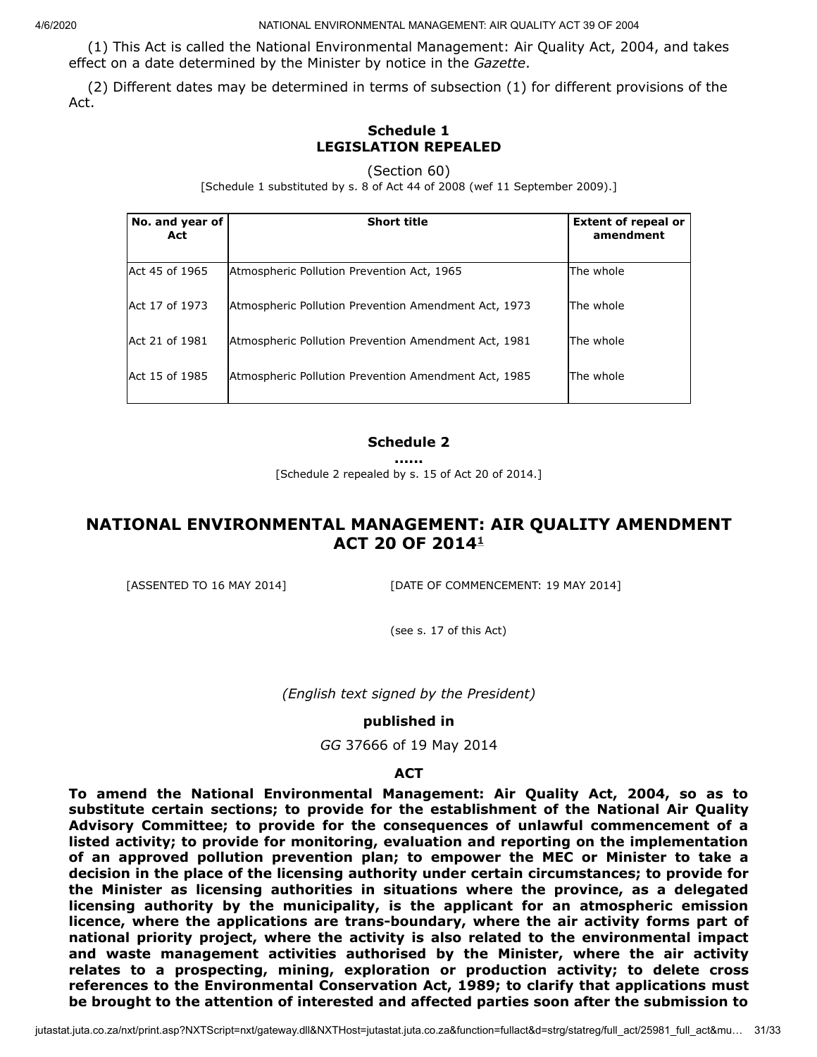(1) This Act is called the National Environmental Management: Air Quality Act, 2004, and takes effect on a date determined by the Minister by notice in the *Gazette*.

(2) Different dates may be determined in terms of subsection (1) for different provisions of the Act.

# **Schedule 1 LEGISLATION REPEALED**

(Section 60)

[Schedule 1 substituted by s. 8 of Act 44 of 2008 (wef 11 September 2009).]

| No. and year of<br>Act | <b>Short title</b>                                   | <b>Extent of repeal or</b><br>amendment |
|------------------------|------------------------------------------------------|-----------------------------------------|
| Act 45 of 1965         | Atmospheric Pollution Prevention Act, 1965           | lThe whole                              |
| Act 17 of 1973         | Atmospheric Pollution Prevention Amendment Act, 1973 | The whole                               |
| Act 21 of 1981         | Atmospheric Pollution Prevention Amendment Act, 1981 | The whole                               |
| Act 15 of 1985         | Atmospheric Pollution Prevention Amendment Act, 1985 | The whole                               |

#### **Schedule 2**

**......**

[Schedule 2 repealed by s. 15 of Act 20 of 2014.]

# **NATIONAL ENVIRONMENTAL MANAGEMENT: AIR QUALITY AMENDMENT ACT 20 OF 2014 [1](#page-31-0)**

[ASSENTED TO 16 MAY 2014] [DATE OF COMMENCEMENT: 19 MAY 2014]

(see s. 17 of this Act)

*(English text signed by the President)*

#### **published in**

*GG* 37666 of 19 May 2014

#### **ACT**

**To amend the National Environmental Management: Air Quality Act, 2004, so as to substitute certain sections; to provide for the establishment of the National Air Quality Advisory Committee; to provide for the consequences of unlawful commencement of a listed activity; to provide for monitoring, evaluation and reporting on the implementation of an approved pollution prevention plan; to empower the MEC or Minister to take a decision in the place of the licensing authority under certain circumstances; to provide for the Minister as licensing authorities in situations where the province, as a delegated licensing authority by the municipality, is the applicant for an atmospheric emission licence, where the applications are trans-boundary, where the air activity forms part of national priority project, where the activity is also related to the environmental impact and waste management activities authorised by the Minister, where the air activity relates to a prospecting, mining, exploration or production activity; to delete cross references to the Environmental Conservation Act, 1989; to clarify that applications must be brought to the attention of interested and affected parties soon after the submission to**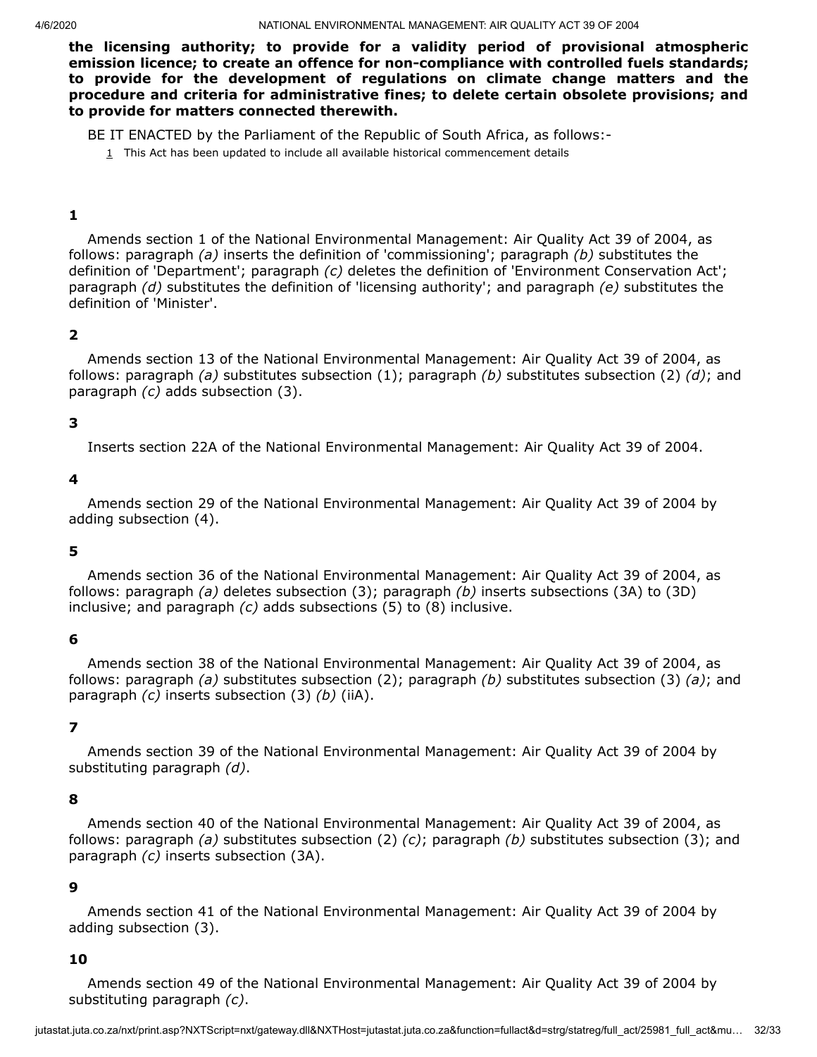**the licensing authority; to provide for a validity period of provisional atmospheric emission licence; to create an offence for non-compliance with controlled fuels standards; to provide for the development of regulations on climate change matters and the procedure and criteria for administrative fines; to delete certain obsolete provisions; and to provide for matters connected therewith.**

<span id="page-31-0"></span>BE IT ENACTED by the Parliament of the Republic of South Africa, as follows:-

 $1$  This Act has been updated to include all available historical commencement details

#### **1**

Amends section 1 of the National Environmental Management: Air Quality Act 39 of 2004, as follows: paragraph *(a)* inserts the definition of 'commissioning'; paragraph *(b)* substitutes the definition of 'Department'; paragraph *(c)* deletes the definition of 'Environment Conservation Act'; paragraph *(d)* substitutes the definition of 'licensing authority'; and paragraph *(e)* substitutes the definition of 'Minister'.

#### **2**

Amends section 13 of the National Environmental Management: Air Quality Act 39 of 2004, as follows: paragraph *(a)* substitutes subsection (1); paragraph *(b)* substitutes subsection (2) *(d)*; and paragraph *(c)* adds subsection (3).

#### **3**

Inserts section 22A of the National Environmental Management: Air Quality Act 39 of 2004.

#### **4**

Amends section 29 of the National Environmental Management: Air Quality Act 39 of 2004 by adding subsection (4).

#### **5**

Amends section 36 of the National Environmental Management: Air Quality Act 39 of 2004, as follows: paragraph *(a)* deletes subsection (3); paragraph *(b)* inserts subsections (3A) to (3D) inclusive; and paragraph *(c)* adds subsections (5) to (8) inclusive.

#### **6**

Amends section 38 of the National Environmental Management: Air Quality Act 39 of 2004, as follows: paragraph *(a)* substitutes subsection (2); paragraph *(b)* substitutes subsection (3) *(a)*; and paragraph *(c)* inserts subsection (3) *(b)* (iiA).

#### **7**

Amends section 39 of the National Environmental Management: Air Quality Act 39 of 2004 by substituting paragraph *(d)*.

#### **8**

Amends section 40 of the National Environmental Management: Air Quality Act 39 of 2004, as follows: paragraph *(a)* substitutes subsection (2) *(c)*; paragraph *(b)* substitutes subsection (3); and paragraph *(c)* inserts subsection (3A).

#### **9**

Amends section 41 of the National Environmental Management: Air Quality Act 39 of 2004 by adding subsection (3).

#### **10**

Amends section 49 of the National Environmental Management: Air Quality Act 39 of 2004 by substituting paragraph *(c)*.